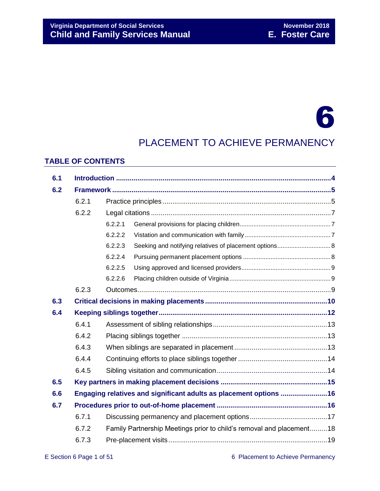# 6

# PLACEMENT TO ACHIEVE PERMANENCY

# **TABLE OF CONTENTS**

| 6.1 |       |                                                                      |  |  |  |
|-----|-------|----------------------------------------------------------------------|--|--|--|
| 6.2 |       |                                                                      |  |  |  |
|     | 6.2.1 |                                                                      |  |  |  |
|     | 6.2.2 |                                                                      |  |  |  |
|     |       | 6.2.2.1                                                              |  |  |  |
|     |       | 6.2.2.2                                                              |  |  |  |
|     |       | Seeking and notifying relatives of placement options 8<br>6.2.2.3    |  |  |  |
|     |       | 6.2.2.4                                                              |  |  |  |
|     |       | 6.2.2.5                                                              |  |  |  |
|     |       | 6.2.2.6                                                              |  |  |  |
|     | 6.2.3 |                                                                      |  |  |  |
| 6.3 |       |                                                                      |  |  |  |
| 6.4 |       |                                                                      |  |  |  |
|     | 6.4.1 |                                                                      |  |  |  |
|     | 6.4.2 |                                                                      |  |  |  |
|     | 6.4.3 |                                                                      |  |  |  |
|     | 6.4.4 |                                                                      |  |  |  |
|     | 6.4.5 |                                                                      |  |  |  |
| 6.5 |       |                                                                      |  |  |  |
| 6.6 |       | Engaging relatives and significant adults as placement options 16    |  |  |  |
| 6.7 |       |                                                                      |  |  |  |
|     | 6.7.1 |                                                                      |  |  |  |
|     | 6.7.2 | Family Partnership Meetings prior to child's removal and placement18 |  |  |  |
|     | 6.7.3 |                                                                      |  |  |  |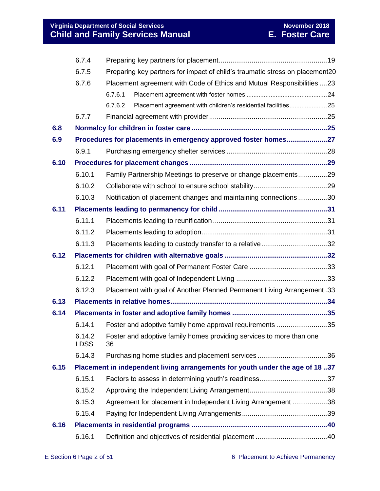#### **Virginia Department of Social Services November 2018 Child and Family Services Manual E. Foster Care**

|      | 6.7.4                 |                                                                               |  |
|------|-----------------------|-------------------------------------------------------------------------------|--|
|      | 6.7.5                 | Preparing key partners for impact of child's traumatic stress on placement20  |  |
|      | 6.7.6                 | Placement agreement with Code of Ethics and Mutual Responsibilities 23        |  |
|      |                       | 6.7.6.1                                                                       |  |
|      |                       | Placement agreement with children's residential facilities 25<br>6.7.6.2      |  |
|      | 6.7.7                 |                                                                               |  |
| 6.8  |                       |                                                                               |  |
| 6.9  |                       | Procedures for placements in emergency approved foster homes27                |  |
|      | 6.9.1                 |                                                                               |  |
| 6.10 |                       |                                                                               |  |
|      | 6.10.1                | Family Partnership Meetings to preserve or change placements29                |  |
|      | 6.10.2                |                                                                               |  |
|      | 6.10.3                | Notification of placement changes and maintaining connections30               |  |
| 6.11 |                       |                                                                               |  |
|      | 6.11.1                |                                                                               |  |
|      | 6.11.2                |                                                                               |  |
|      | 6.11.3                | Placements leading to custody transfer to a relative32                        |  |
| 6.12 |                       |                                                                               |  |
|      | 6.12.1                |                                                                               |  |
|      | 6.12.2                |                                                                               |  |
|      | 6.12.3                | Placement with goal of Another Planned Permanent Living Arrangement. 33       |  |
| 6.13 |                       |                                                                               |  |
| 6.14 |                       |                                                                               |  |
|      | 6.14.1                | Foster and adoptive family home approval requirements 35                      |  |
|      | 6.14.2<br><b>LDSS</b> | Foster and adoptive family homes providing services to more than one<br>36    |  |
|      | 6.14.3                |                                                                               |  |
| 6.15 |                       | Placement in independent living arrangements for youth under the age of 18.37 |  |
|      | 6.15.1                |                                                                               |  |
|      | 6.15.2                |                                                                               |  |
|      | 6.15.3                | Agreement for placement in Independent Living Arrangement 38                  |  |
|      | 6.15.4                |                                                                               |  |
| 6.16 |                       |                                                                               |  |
|      | 6.16.1                |                                                                               |  |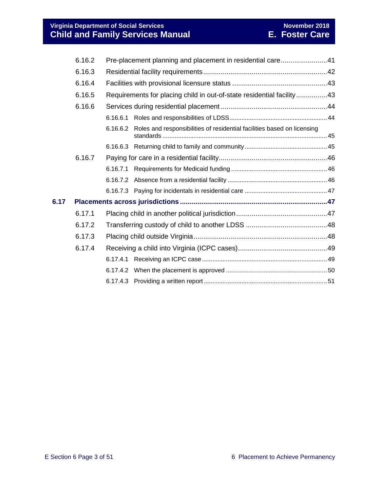#### **Virginia Department of Social Services November 2018 Child and Family Services Manual E. Foster Care**

|      | 6.16.2 | Pre-placement planning and placement in residential care41                          |  |
|------|--------|-------------------------------------------------------------------------------------|--|
|      | 6.16.3 |                                                                                     |  |
|      | 6.16.4 |                                                                                     |  |
|      | 6.16.5 | Requirements for placing child in out-of-state residential facility43               |  |
|      | 6.16.6 |                                                                                     |  |
|      |        | 6.16.6.1                                                                            |  |
|      |        | Roles and responsibilities of residential facilities based on licensing<br>6.16.6.2 |  |
|      |        |                                                                                     |  |
|      | 6.16.7 |                                                                                     |  |
|      |        | 6.16.7.1                                                                            |  |
|      |        |                                                                                     |  |
|      |        |                                                                                     |  |
| 6.17 |        |                                                                                     |  |
|      | 6.17.1 |                                                                                     |  |
|      | 6.17.2 |                                                                                     |  |
|      | 6.17.3 |                                                                                     |  |
|      | 6.17.4 |                                                                                     |  |
|      |        | 6.17.4.1                                                                            |  |
|      |        |                                                                                     |  |
|      |        |                                                                                     |  |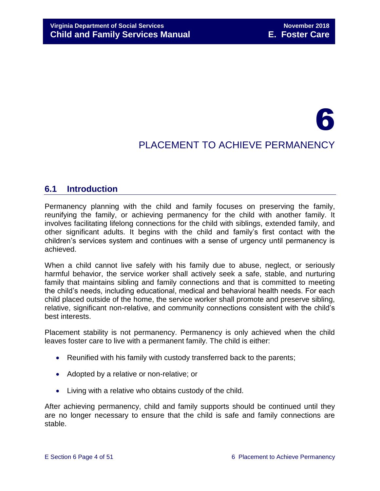# 6 PLACEMENT TO ACHIEVE PERMANENCY

# <span id="page-3-0"></span>**6.1 Introduction**

Permanency planning with the child and family focuses on preserving the family, reunifying the family, or achieving permanency for the child with another family. It involves facilitating lifelong connections for the child with siblings, extended family, and other significant adults. It begins with the child and family's first contact with the children's services system and continues with a sense of urgency until permanency is achieved.

When a child cannot live safely with his family due to abuse, neglect, or seriously harmful behavior, the service worker shall actively seek a safe, stable, and nurturing family that maintains sibling and family connections and that is committed to meeting the child's needs, including educational, medical and behavioral health needs. For each child placed outside of the home, the service worker shall promote and preserve sibling, relative, significant non-relative, and community connections consistent with the child's best interests.

Placement stability is not permanency. Permanency is only achieved when the child leaves foster care to live with a permanent family. The child is either:

- Reunified with his family with custody transferred back to the parents;
- Adopted by a relative or non-relative; or
- Living with a relative who obtains custody of the child.

After achieving permanency, child and family supports should be continued until they are no longer necessary to ensure that the child is safe and family connections are stable.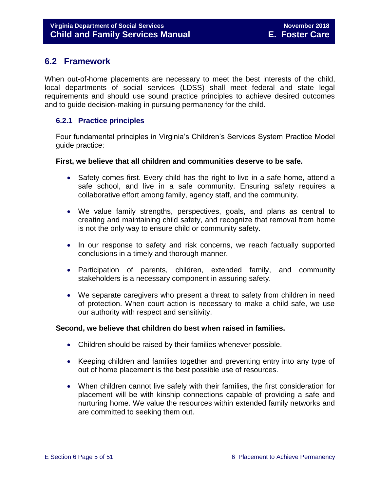# <span id="page-4-0"></span>**6.2 Framework**

When out-of-home placements are necessary to meet the best interests of the child, local departments of social services (LDSS) shall meet federal and state legal requirements and should use sound practice principles to achieve desired outcomes and to guide decision-making in pursuing permanency for the child.

#### <span id="page-4-1"></span>**6.2.1 Practice principles**

Four fundamental principles in Virginia's Children's Services System Practice Model guide practice:

#### **First, we believe that all children and communities deserve to be safe.**

- Safety comes first. Every child has the right to live in a safe home, attend a safe school, and live in a safe community. Ensuring safety requires a collaborative effort among family, agency staff, and the community.
- We value family strengths, perspectives, goals, and plans as central to creating and maintaining child safety, and recognize that removal from home is not the only way to ensure child or community safety.
- In our response to safety and risk concerns, we reach factually supported conclusions in a timely and thorough manner.
- Participation of parents, children, extended family, and community stakeholders is a necessary component in assuring safety.
- We separate caregivers who present a threat to safety from children in need of protection. When court action is necessary to make a child safe, we use our authority with respect and sensitivity.

#### **Second, we believe that children do best when raised in families.**

- Children should be raised by their families whenever possible.
- Keeping children and families together and preventing entry into any type of out of home placement is the best possible use of resources.
- When children cannot live safely with their families, the first consideration for placement will be with kinship connections capable of providing a safe and nurturing home. We value the resources within extended family networks and are committed to seeking them out.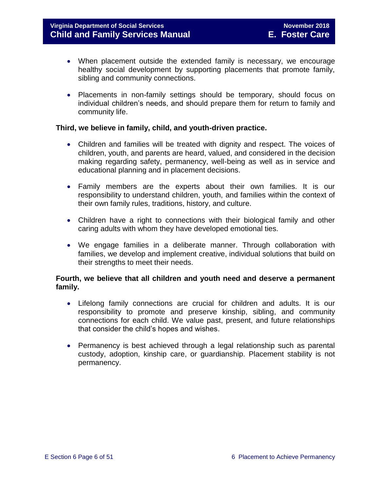- When placement outside the extended family is necessary, we encourage healthy social development by supporting placements that promote family, sibling and community connections.
- Placements in non-family settings should be temporary, should focus on individual children's needs, and should prepare them for return to family and community life.

#### **Third, we believe in family, child, and youth-driven practice.**

- Children and families will be treated with dignity and respect. The voices of children, youth, and parents are heard, valued, and considered in the decision making regarding safety, permanency, well-being as well as in service and educational planning and in placement decisions.
- Family members are the experts about their own families. It is our responsibility to understand children, youth, and families within the context of their own family rules, traditions, history, and culture.
- Children have a right to connections with their biological family and other caring adults with whom they have developed emotional ties.
- We engage families in a deliberate manner. Through collaboration with families, we develop and implement creative, individual solutions that build on their strengths to meet their needs.

#### **Fourth, we believe that all children and youth need and deserve a permanent family.**

- Lifelong family connections are crucial for children and adults. It is our responsibility to promote and preserve kinship, sibling, and community connections for each child. We value past, present, and future relationships that consider the child's hopes and wishes.
- Permanency is best achieved through a legal relationship such as parental custody, adoption, kinship care, or guardianship. Placement stability is not permanency.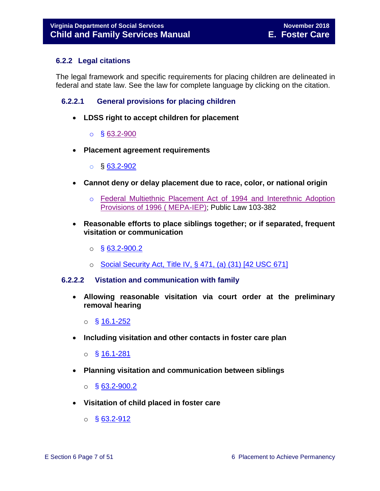#### <span id="page-6-0"></span>**6.2.2 Legal citations**

The legal framework and specific requirements for placing children are delineated in federal and state law. See the law for complete language by clicking on the citation.

#### **6.2.2.1 General provisions for placing children**

- <span id="page-6-1"></span> **LDSS right to accept children for placement** 
	- $\circ$  § [63.2-900](http://law.lis.virginia.gov/vacode/63.2-900/)
- **Placement agreement requirements** 
	- $\circ$  § [63.2-902](http://law.lis.virginia.gov/vacode/63.2-902/)
- **Cannot deny or delay placement due to race, color, or national origin** 
	- o [Federal Multiethnic Placement Act of 1994 and Interethnic Adoption](https://www.childwelfare.gov/systemwide/laws_policies/federal/index.cfm?event=federalLegislation.viewLegis&id=46)  [Provisions of 1996 \( MEPA-IEP\);](https://www.childwelfare.gov/systemwide/laws_policies/federal/index.cfm?event=federalLegislation.viewLegis&id=46) Public Law 103-382
- **Reasonable efforts to place siblings together; or if separated, frequent visitation or communication** 
	- $\circ$  § [63.2-900.2](http://law.lis.virginia.gov/vacode/63.2-900.2/)
	- $\circ$  [Social Security Act, Title IV, § 471, \(a\) \(31\) \[42 USC 671\]](http://www.ssa.gov/OP_Home/ssact/title04/0471.htm)

#### <span id="page-6-2"></span>**6.2.2.2 Vistation and communication with family**

- **Allowing reasonable visitation via court order at the preliminary removal hearing**
	- $\circ$  § [16.1-252](http://law.lis.virginia.gov/vacode/16.1-252/)
- **Including visitation and other contacts in foster care plan** 
	- o § [16.1-281](http://law.lis.virginia.gov/vacode/16.1-281/)
- **Planning visitation and communication between siblings**
	- $\circ$  § [63.2-900.2](http://law.lis.virginia.gov/vacode/63.2-900.2/)
- **Visitation of child placed in foster care**
	- $\circ$  § [63.2-912](http://law.lis.virginia.gov/vacode/63.2-912/)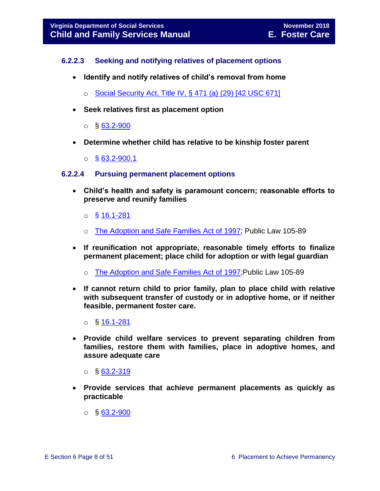#### <span id="page-7-0"></span>**6.2.2.3 Seeking and notifying relatives of placement options**

- **Identify and notify relatives of child's removal from home** 
	- o [Social Security Act, Title IV, § 471 \(a\) \(29\) \[42 USC 671\]](http://www.ssa.gov/OP_Home/ssact/title04/0471.htm)
- **Seek relatives first as placement option** 
	- $\circ$  § [63.2-900](http://law.lis.virginia.gov/vacode/63.2-900/)
- **Determine whether child has relative to be kinship foster parent**
	- $\circ$  § [63.2-900.1](http://law.lis.virginia.gov/vacode/title63.2/chapter9/section63.2-900.1/)

#### <span id="page-7-1"></span>**6.2.2.4 Pursuing permanent placement options**

- **Child's health and safety is paramount concern; reasonable efforts to preserve and reunify families** 
	- $\circ$  § [16.1-281](http://law.lis.virginia.gov/vacode/16.1-281/)
	- o [The Adoption and Safe Families Act of 1997;](https://www.childwelfare.gov/systemwide/laws_policies/federal/index.cfm?event=federalLegislation.viewLegis&id=4) Public Law 105-89
- **If reunification not appropriate, reasonable timely efforts to finalize permanent placement; place child for adoption or with legal guardian** 
	- o [The Adoption and Safe](https://www.childwelfare.gov/systemwide/laws_policies/federal/index.cfm?event=federalLegislation.viewLegis&id=4) Families Act of 1997;Public Law 105-89
- **If cannot return child to prior family, plan to place child with relative with subsequent transfer of custody or in adoptive home, or if neither feasible, permanent foster care.**
	- o § [16.1-281](http://law.lis.virginia.gov/vacode/16.1-281/)
- **Provide child welfare services to prevent separating children from families, restore them with families, place in adoptive homes, and assure adequate care**

 $\circ$  § [63.2-319](http://law.lis.virginia.gov/vacode/63.2-319/)

- **Provide services that achieve permanent placements as quickly as practicable** 
	- $\circ$  § [63.2-900](http://law.lis.virginia.gov/vacode/63.2-900/)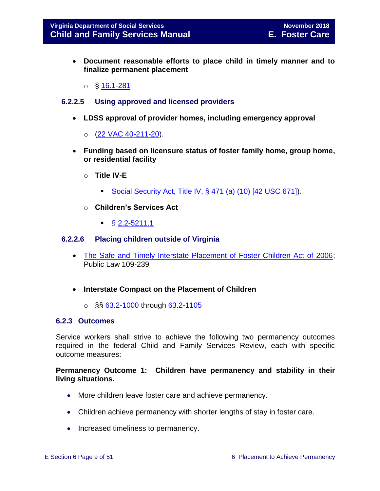- **Document reasonable efforts to place child in timely manner and to finalize permanent placement** 
	- o § [16.1-281](http://law.lis.virginia.gov/vacode/16.1-281/)

#### <span id="page-8-0"></span>**6.2.2.5 Using approved and licensed providers**

- **LDSS approval of provider homes, including emergency approval**
	- o [\(22 VAC 40-211-20\)](http://leg1.state.va.us/cgi-bin/legp504.exe?000+reg+22VAC40-211-20).
- **Funding based on licensure status of foster family home, group home, or residential facility** 
	- o **Title IV-E** 
		- [Social Security Act, Title IV, § 471 \(a\) \(10\) \[42 USC 671\]\)](http://www.ssa.gov/OP_Home/ssact/title04/0471.htm).
	- o **Children's Services Act** 
		- $\frac{1}{2}$  § [2.2-5211.1](http://law.lis.virginia.gov/vacode/2.2-5211.1/)

#### <span id="page-8-1"></span>**6.2.2.6 Placing children outside of Virginia**

- [The Safe and Timely Interstate Placement of Foster Children Act of 2006;](https://www.childwelfare.gov/systemwide/laws_policies/federal/index.cfm?event=federalLegislation.viewLegis&id=82) Public Law 109-239
- **Interstate Compact on the Placement of Children** 
	- o §§ [63.2-1000](http://law.lis.virginia.gov/vacode/63.2-1000/) through [63.2-1105](http://law.lis.virginia.gov/vacode/63.2-1105/)

#### <span id="page-8-2"></span>**6.2.3 Outcomes**

Service workers shall strive to achieve the following two permanency outcomes required in the federal Child and Family Services Review, each with specific outcome measures:

**Permanency Outcome 1: Children have permanency and stability in their living situations.**

- More children leave foster care and achieve permanency.
- Children achieve permanency with shorter lengths of stay in foster care.
- Increased timeliness to permanency.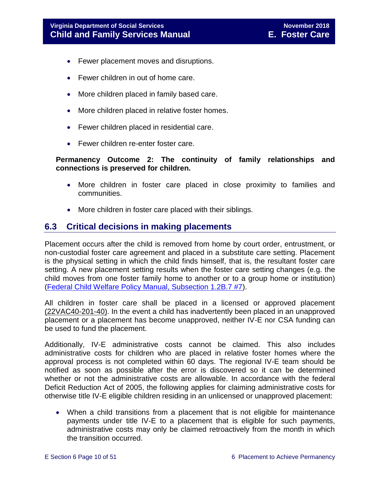- Fewer placement moves and disruptions.
- Fewer children in out of home care.
- More children placed in family based care.
- More children placed in relative foster homes.
- Fewer children placed in residential care.
- Fewer children re-enter foster care.

#### **Permanency Outcome 2: The continuity of family relationships and connections is preserved for children.**

- More children in foster care placed in close proximity to families and communities.
- More children in foster care placed with their siblings.

# <span id="page-9-0"></span>**6.3 Critical decisions in making placements**

Placement occurs after the child is removed from home by court order, entrustment, or non-custodial foster care agreement and placed in a substitute care setting. Placement is the physical setting in which the child finds himself, that is, the resultant foster care setting. A new placement setting results when the foster care setting changes (e.g. the child moves from one foster family home to another or to a group home or institution) [\(Federal Child Welfare Policy Manual, Subsection 1.2B.7 #7\)](http://www.acf.hhs.gov/cwpm/programs/cb/laws_policies/laws/cwpm/questDetail.jsp?QAId=560).

All children in foster care shall be placed in a licensed or approved placement [\(22VAC40-201-40\).](http://law.lis.virginia.gov/admincode/title22/agency40/chapter201/section40/) In the event a child has inadvertently been placed in an unapproved placement or a placement has become unapproved, neither IV-E nor CSA funding can be used to fund the placement.

Additionally, IV-E administrative costs cannot be claimed. This also includes administrative costs for children who are placed in relative foster homes where the approval process is not completed within 60 days. The regional IV-E team should be notified as soon as possible after the error is discovered so it can be determined whether or not the administrative costs are allowable. In accordance with the federal Deficit Reduction Act of 2005, the following applies for claiming administrative costs for otherwise title IV-E eligible children residing in an unlicensed or unapproved placement:

 When a child transitions from a placement that is not eligible for maintenance payments under title IV-E to a placement that is eligible for such payments, administrative costs may only be claimed retroactively from the month in which the transition occurred.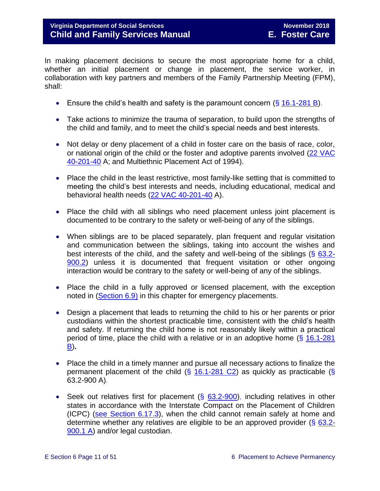#### **Virginia Department of Social Services November 2018 Child and Family Services Manual E. Foster Care**

In making placement decisions to secure the most appropriate home for a child, whether an initial placement or change in placement, the service worker, in collaboration with key partners and members of the Family Partnership Meeting (FPM), shall:

- **Ensure the child's health and safety is the paramount concern (** $\frac{1}{5}$  **[16.1-281 B\)](http://law.lis.virginia.gov/vacode/16.1-281/).**
- Take actions to minimize the trauma of separation, to build upon the strengths of the child and family, and to meet the child's special needs and best interests.
- Not delay or deny placement of a child in foster care on the basis of race, color, or national origin of the child or the foster and adoptive parents involved [\(22 VAC](http://leg1.state.va.us/cgi-bin/legp504.exe?000+reg+22VAC40-201-40)  [40-201-40](http://leg1.state.va.us/cgi-bin/legp504.exe?000+reg+22VAC40-201-40) A; and Multiethnic Placement Act of 1994).
- Place the child in the least restrictive, most family-like setting that is committed to meeting the child's best interests and needs, including educational, medical and behavioral health needs [\(22 VAC 40-201-40](http://leg1.state.va.us/cgi-bin/legp504.exe?000+reg+22VAC40-201-40) A).
- Place the child with all siblings who need placement unless joint placement is documented to be contrary to the safety or well-being of any of the siblings.
- When siblings are to be placed separately, plan frequent and regular visitation and communication between the siblings, taking into account the wishes and best interests of the child, and the safety and well-being of the siblings  $(\S$  [63.2-](http://law.lis.virginia.gov/vacode/63.2-900.2/) [900.2\)](http://law.lis.virginia.gov/vacode/63.2-900.2/) unless it is documented that frequent visitation or other ongoing interaction would be contrary to the safety or well-being of any of the siblings.
- Place the child in a fully approved or licensed placement, with the exception noted in [\(Section 6.9\)](file://///Vaultcelerra.co.dss.state.va.us/Workgroup/Family_Services/DFS%20Child%20and%20Family%20Services%20Manual/E.%20Foster%20Care/Foster%20Care%20June%202017/section_6_placement_to_achieve_permanency.draft.docx) in this chapter for emergency placements.
- Design a placement that leads to returning the child to his or her parents or prior custodians within the shortest practicable time, consistent with the child's health and safety. If returning the child home is not reasonably likely within a practical period of time, place the child with a relative or in an adoptive home (§ [16.1-281](http://law.lis.virginia.gov/vacode/16.1-281/)  [B\)](http://law.lis.virginia.gov/vacode/16.1-281/)**.**
- Place the child in a timely manner and pursue all necessary actions to finalize the permanent placement of the child (§ [16.1-281 C2\)](http://law.lis.virginia.gov/vacode/16.1-281/) as quickly as practicable (§ 63.2-900 A).
- Seek out relatives first for placement  $(\S$  [63.2-900\)](http://law.lis.virginia.gov/vacode/63.2-900/), including relatives in other states in accordance with the Interstate Compact on the Placement of Children (ICPC) [\(see Section 6.17.3\)](file://///Vaultcelerra.co.dss.state.va.us/Workgroup/Family_Services/DFS%20Child%20and%20Family%20Services%20Manual/E.%20Foster%20Care/Foster%20Care%20June%202017/section_6_placement_to_achieve_permanency.draft.docx), when the child cannot remain safely at home and determine whether any relatives are eligible to be an approved provider  $(\S$  [63.2-](http://law.lis.virginia.gov/vacode/63.2-900/) [900.1 A\)](http://law.lis.virginia.gov/vacode/63.2-900/) and/or legal custodian.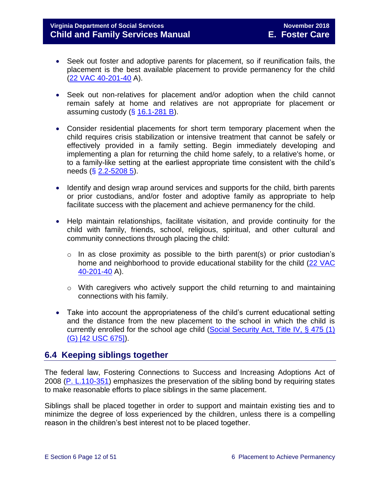#### **Virginia Department of Social Services November 2018 Child and Family Services Manual E. Foster Care**

- Seek out foster and adoptive parents for placement, so if reunification fails, the placement is the best available placement to provide permanency for the child [\(22 VAC 40-201-40](http://leg1.state.va.us/cgi-bin/legp504.exe?000+reg+22VAC40-201-40) A).
- Seek out non-relatives for placement and/or adoption when the child cannot remain safely at home and relatives are not appropriate for placement or assuming custody  $(\S 16.1 - 281 \text{ B})$ .
- Consider residential placements for short term temporary placement when the child requires crisis stabilization or intensive treatment that cannot be safely or effectively provided in a family setting. Begin immediately developing and implementing a plan for returning the child home safely, to a relative's home, or to a family-like setting at the earliest appropriate time consistent with the child's needs (§ [2.2-5208 5\)](http://law.lis.virginia.gov/vacode/2.2-5208/).
- Identify and design wrap around services and supports for the child, birth parents or prior custodians, and/or foster and adoptive family as appropriate to help facilitate success with the placement and achieve permanency for the child.
- Help maintain relationships, facilitate visitation, and provide continuity for the child with family, friends, school, religious, spiritual, and other cultural and community connections through placing the child:
	- $\circ$  In as close proximity as possible to the birth parent(s) or prior custodian's home and neighborhood to provide educational stability for the child [\(22 VAC](http://leg1.state.va.us/cgi-bin/legp504.exe?000+reg+22VAC40-201-40)  [40-201-40](http://leg1.state.va.us/cgi-bin/legp504.exe?000+reg+22VAC40-201-40) A).
	- o With caregivers who actively support the child returning to and maintaining connections with his family.
- Take into account the appropriateness of the child's current educational setting and the distance from the new placement to the school in which the child is currently enrolled for the school age child [\(Social Security Act, Title IV, § 475 \(1\)](http://www.ssa.gov/OP_Home/ssact/title04/0475.htm)  [\(G\) \[42 USC 675\]\)](http://www.ssa.gov/OP_Home/ssact/title04/0475.htm).

# <span id="page-11-0"></span>**6.4 Keeping siblings together**

The federal law, Fostering Connections to Success and Increasing Adoptions Act of 2008 (P. [L.110-351\)](https://www.childwelfare.gov/topics/systemwide/laws-policies/federal/fosteringconnections/) emphasizes the preservation of the sibling bond by requiring states to make reasonable efforts to place siblings in the same placement.

Siblings shall be placed together in order to support and maintain existing ties and to minimize the degree of loss experienced by the children, unless there is a compelling reason in the children's best interest not to be placed together.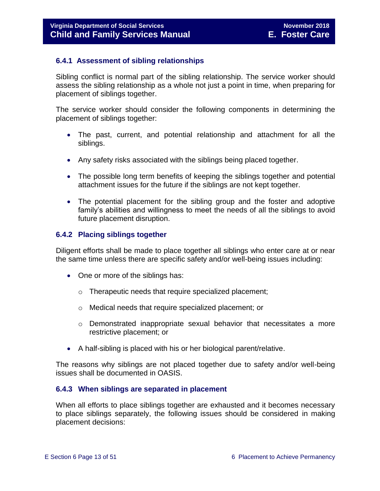#### <span id="page-12-0"></span>**6.4.1 Assessment of sibling relationships**

Sibling conflict is normal part of the sibling relationship. The service worker should assess the sibling relationship as a whole not just a point in time, when preparing for placement of siblings together.

The service worker should consider the following components in determining the placement of siblings together:

- The past, current, and potential relationship and attachment for all the siblings.
- Any safety risks associated with the siblings being placed together.
- The possible long term benefits of keeping the siblings together and potential attachment issues for the future if the siblings are not kept together.
- The potential placement for the sibling group and the foster and adoptive family's abilities and willingness to meet the needs of all the siblings to avoid future placement disruption.

#### <span id="page-12-1"></span>**6.4.2 Placing siblings together**

Diligent efforts shall be made to place together all siblings who enter care at or near the same time unless there are specific safety and/or well-being issues including:

- One or more of the siblings has:
	- o Therapeutic needs that require specialized placement;
	- o Medical needs that require specialized placement; or
	- o Demonstrated inappropriate sexual behavior that necessitates a more restrictive placement; or
- A half-sibling is placed with his or her biological parent/relative.

The reasons why siblings are not placed together due to safety and/or well-being issues shall be documented in OASIS.

#### <span id="page-12-2"></span>**6.4.3 When siblings are separated in placement**

When all efforts to place siblings together are exhausted and it becomes necessary to place siblings separately, the following issues should be considered in making placement decisions: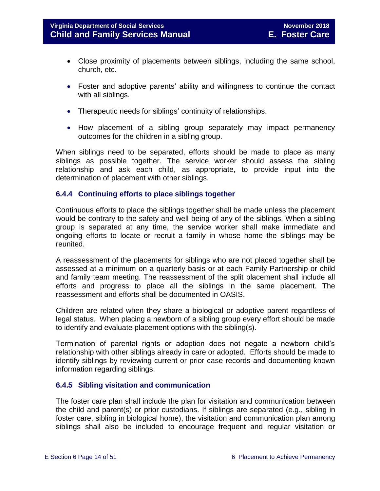- Close proximity of placements between siblings, including the same school, church, etc.
- Foster and adoptive parents' ability and willingness to continue the contact with all siblings.
- Therapeutic needs for siblings' continuity of relationships.
- How placement of a sibling group separately may impact permanency outcomes for the children in a sibling group.

When siblings need to be separated, efforts should be made to place as many siblings as possible together. The service worker should assess the sibling relationship and ask each child, as appropriate, to provide input into the determination of placement with other siblings.

#### <span id="page-13-0"></span>**6.4.4 Continuing efforts to place siblings together**

Continuous efforts to place the siblings together shall be made unless the placement would be contrary to the safety and well-being of any of the siblings. When a sibling group is separated at any time, the service worker shall make immediate and ongoing efforts to locate or recruit a family in whose home the siblings may be reunited.

A reassessment of the placements for siblings who are not placed together shall be assessed at a minimum on a quarterly basis or at each Family Partnership or child and family team meeting. The reassessment of the split placement shall include all efforts and progress to place all the siblings in the same placement. The reassessment and efforts shall be documented in OASIS.

Children are related when they share a biological or adoptive parent regardless of legal status. When placing a newborn of a sibling group every effort should be made to identify and evaluate placement options with the sibling(s).

Termination of parental rights or adoption does not negate a newborn child's relationship with other siblings already in care or adopted. Efforts should be made to identify siblings by reviewing current or prior case records and documenting known information regarding siblings.

#### <span id="page-13-1"></span>**6.4.5 Sibling visitation and communication**

The foster care plan shall include the plan for visitation and communication between the child and parent(s) or prior custodians. If siblings are separated (e.g., sibling in foster care, sibling in biological home), the visitation and communication plan among siblings shall also be included to encourage frequent and regular visitation or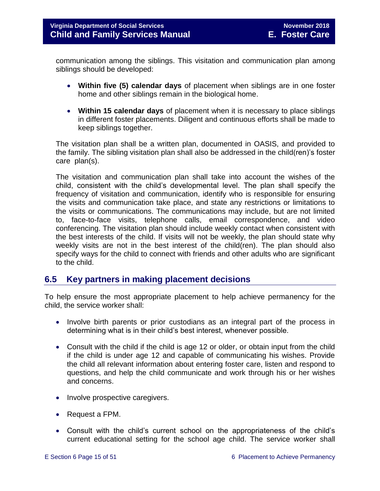communication among the siblings. This visitation and communication plan among siblings should be developed:

- **Within five (5) calendar days** of placement when siblings are in one foster home and other siblings remain in the biological home.
- **Within 15 calendar days** of placement when it is necessary to place siblings in different foster placements. Diligent and continuous efforts shall be made to keep siblings together.

The visitation plan shall be a written plan, documented in OASIS, and provided to the family. The sibling visitation plan shall also be addressed in the child(ren)'s foster care plan(s).

The visitation and communication plan shall take into account the wishes of the child, consistent with the child's developmental level. The plan shall specify the frequency of visitation and communication, identify who is responsible for ensuring the visits and communication take place, and state any restrictions or limitations to the visits or communications. The communications may include, but are not limited to, face-to-face visits, telephone calls, email correspondence, and video conferencing. The visitation plan should include weekly contact when consistent with the best interests of the child. If visits will not be weekly, the plan should state why weekly visits are not in the best interest of the child(ren). The plan should also specify ways for the child to connect with friends and other adults who are significant to the child.

# <span id="page-14-0"></span>**6.5 Key partners in making placement decisions**

To help ensure the most appropriate placement to help achieve permanency for the child, the service worker shall:

- Involve birth parents or prior custodians as an integral part of the process in determining what is in their child's best interest, whenever possible.
- Consult with the child if the child is age 12 or older, or obtain input from the child if the child is under age 12 and capable of communicating his wishes. Provide the child all relevant information about entering foster care, listen and respond to questions, and help the child communicate and work through his or her wishes and concerns.
- Involve prospective caregivers.
- Request a FPM.
- Consult with the child's current school on the appropriateness of the child's current educational setting for the school age child. The service worker shall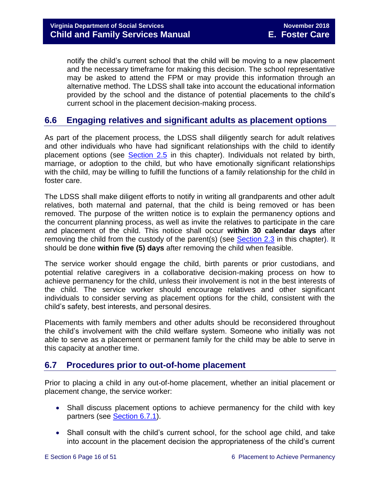notify the child's current school that the child will be moving to a new placement and the necessary timeframe for making this decision. The school representative may be asked to attend the FPM or may provide this information through an alternative method. The LDSS shall take into account the educational information provided by the school and the distance of potential placements to the child's current school in the placement decision-making process.

# <span id="page-15-0"></span>**6.6 Engaging relatives and significant adults as placement options**

As part of the placement process, the LDSS shall diligently search for adult relatives and other individuals who have had significant relationships with the child to identify placement options (see [Section 2.5](file://///Vaultcelerra.co.dss.state.va.us/Workgroup/Family_Services/DFS%20Child%20and%20Family%20Services%20Manual/E.%20Foster%20Care/Foster%20Care%20June%202017/section_2_engaging_the_child_family_and_significant_adults.draft.docx) in this chapter). Individuals not related by birth, marriage, or adoption to the child, but who have emotionally significant relationships with the child, may be willing to fulfill the functions of a family relationship for the child in foster care.

The LDSS shall make diligent efforts to notify in writing all grandparents and other adult relatives, both maternal and paternal, that the child is being removed or has been removed. The purpose of the written notice is to explain the permanency options and the concurrent planning process, as well as invite the relatives to participate in the care and placement of the child. This notice shall occur **within 30 calendar days** after removing the child from the custody of the parent(s) (see [Section 2.3](file://///Vaultcelerra.co.dss.state.va.us/Workgroup/Family_Services/DFS%20Child%20and%20Family%20Services%20Manual/E.%20Foster%20Care/Foster%20Care%20June%202017/section_2_engaging_the_child_family_and_significant_adults.draft.docx) in this chapter). It should be done **within five (5) days** after removing the child when feasible.

The service worker should engage the child, birth parents or prior custodians, and potential relative caregivers in a collaborative decision-making process on how to achieve permanency for the child, unless their involvement is not in the best interests of the child. The service worker should encourage relatives and other significant individuals to consider serving as placement options for the child, consistent with the child's safety, best interests, and personal desires.

Placements with family members and other adults should be reconsidered throughout the child's involvement with the child welfare system. Someone who initially was not able to serve as a placement or permanent family for the child may be able to serve in this capacity at another time.

# <span id="page-15-1"></span>**6.7 Procedures prior to out-of-home placement**

Prior to placing a child in any out-of-home placement, whether an initial placement or placement change, the service worker:

- Shall discuss placement options to achieve permanency for the child with key partners (see [Section](#page-16-0) 6.7.1).
- Shall consult with the child's current school, for the school age child, and take into account in the placement decision the appropriateness of the child's current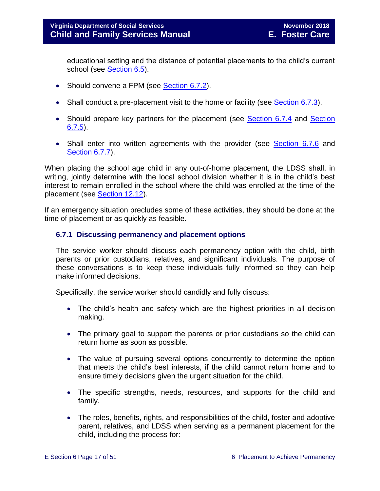educational setting and the distance of potential placements to the child's current school (see [Section 6.5\)](#page-14-0).

- Should convene a FPM (see [Section](#page-17-0) 6.7.2).
- Shall conduct a pre-placement visit to the home or facility (see [Section](#page-18-0) 6.7.3).
- Should prepare key partners for the placement (see [Section](#page-18-1) 6.7.4 and Section [6.7.5\)](#page-19-0).
- Shall enter into written agreements with the provider (see [Section 6.7.6](#page-22-0) and [Section 6.7.7\)](#page-24-1).

When placing the school age child in any out-of-home placement, the LDSS shall, in writing, jointly determine with the local school division whether it is in the child's best interest to remain enrolled in the school where the child was enrolled at the time of the placement (see [Section 12.12\)](file://///Vaultcelerra.co.dss.state.va.us/Workgroup/Family_Services/DFS%20Child%20and%20Family%20Services%20Manual/E.%20Foster%20Care/Foster%20Care%20June%202017/section_12_identifying_services_to_be_provided.draft.docx).

If an emergency situation precludes some of these activities, they should be done at the time of placement or as quickly as feasible.

#### <span id="page-16-0"></span>**6.7.1 Discussing permanency and placement options**

The service worker should discuss each permanency option with the child, birth parents or prior custodians, relatives, and significant individuals. The purpose of these conversations is to keep these individuals fully informed so they can help make informed decisions.

Specifically, the service worker should candidly and fully discuss:

- The child's health and safety which are the highest priorities in all decision making.
- The primary goal to support the parents or prior custodians so the child can return home as soon as possible.
- The value of pursuing several options concurrently to determine the option that meets the child's best interests, if the child cannot return home and to ensure timely decisions given the urgent situation for the child.
- The specific strengths, needs, resources, and supports for the child and family.
- The roles, benefits, rights, and responsibilities of the child, foster and adoptive parent, relatives, and LDSS when serving as a permanent placement for the child, including the process for: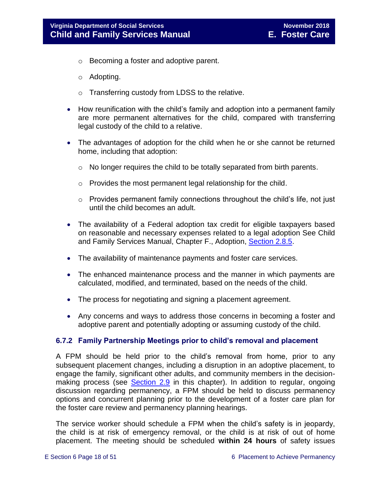- o Becoming a foster and adoptive parent.
- o Adopting.
- o Transferring custody from LDSS to the relative.
- How reunification with the child's family and adoption into a permanent family are more permanent alternatives for the child, compared with transferring legal custody of the child to a relative.
- The advantages of adoption for the child when he or she cannot be returned home, including that adoption:
	- o No longer requires the child to be totally separated from birth parents.
	- $\circ$  Provides the most permanent legal relationship for the child.
	- o Provides permanent family connections throughout the child's life, not just until the child becomes an adult.
- The availability of a Federal adoption tax credit for eligible taxpayers based on reasonable and necessary expenses related to a legal adoption See Child and Family Services Manual, Chapter F., Adoption, [Section 2.8.5.](http://www.dss.virginia.gov/files/division/dfs/ap/intro_page/manuals/07-01-2014/section_2_adoption_assistance.pdf)
- The availability of maintenance payments and foster care services.
- The enhanced maintenance process and the manner in which payments are calculated, modified, and terminated, based on the needs of the child.
- The process for negotiating and signing a placement agreement.
- Any concerns and ways to address those concerns in becoming a foster and adoptive parent and potentially adopting or assuming custody of the child.

#### <span id="page-17-0"></span>**6.7.2 Family Partnership Meetings prior to child's removal and placement**

A FPM should be held prior to the child's removal from home, prior to any subsequent placement changes, including a disruption in an adoptive placement, to engage the family, significant other adults, and community members in the decision-making process (see [Section 2.9](file://///Vaultcelerra.co.dss.state.va.us/Workgroup/Family_Services/DFS%20Child%20and%20Family%20Services%20Manual/E.%20Foster%20Care/Foster%20Care%20June%202017/section_2_engaging_the_child_family_and_significant_adults.draft.docx) in this chapter). In addition to regular, ongoing discussion regarding permanency, a FPM should be held to discuss permanency options and concurrent planning prior to the development of a foster care plan for the foster care review and permanency planning hearings.

The service worker should schedule a FPM when the child's safety is in jeopardy, the child is at risk of emergency removal, or the child is at risk of out of home placement. The meeting should be scheduled **within 24 hours** of safety issues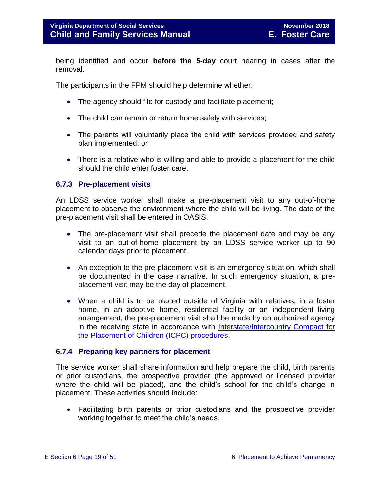being identified and occur **before the 5-day** court hearing in cases after the removal.

The participants in the FPM should help determine whether:

- The agency should file for custody and facilitate placement;
- The child can remain or return home safely with services;
- The parents will voluntarily place the child with services provided and safety plan implemented; or
- There is a relative who is willing and able to provide a placement for the child should the child enter foster care.

#### <span id="page-18-0"></span>**6.7.3 Pre-placement visits**

An LDSS service worker shall make a pre-placement visit to any out-of-home placement to observe the environment where the child will be living. The date of the pre-placement visit shall be entered in OASIS.

- The pre-placement visit shall precede the placement date and may be any visit to an out-of-home placement by an LDSS service worker up to 90 calendar days prior to placement.
- An exception to the pre-placement visit is an emergency situation, which shall be documented in the case narrative. In such emergency situation, a preplacement visit may be the day of placement.
- When a child is to be placed outside of Virginia with relatives, in a foster home, in an adoptive home, residential facility or an independent living arrangement, the pre-placement visit shall be made by an authorized agency in the receiving state in accordance with Interstate/Intercountry Compact for [the Placement of Children \(ICPC\) procedures.](http://www.dss.virginia.gov/family/icpc/index.cgi)

#### <span id="page-18-1"></span>**6.7.4 Preparing key partners for placement**

The service worker shall share information and help prepare the child, birth parents or prior custodians, the prospective provider (the approved or licensed provider where the child will be placed), and the child's school for the child's change in placement. These activities should include:

 Facilitating birth parents or prior custodians and the prospective provider working together to meet the child's needs.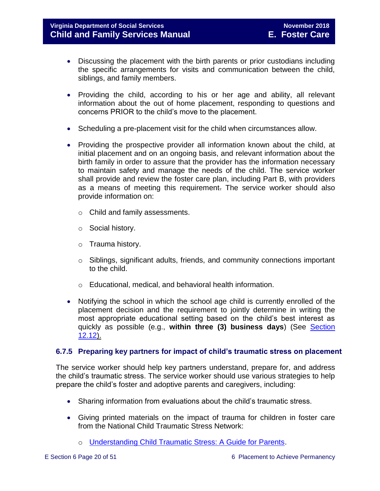- Discussing the placement with the birth parents or prior custodians including the specific arrangements for visits and communication between the child, siblings, and family members.
- Providing the child, according to his or her age and ability, all relevant information about the out of home placement, responding to questions and concerns PRIOR to the child's move to the placement.
- Scheduling a pre-placement visit for the child when circumstances allow.
- Providing the prospective provider all information known about the child, at initial placement and on an ongoing basis, and relevant information about the birth family in order to assure that the provider has the information necessary to maintain safety and manage the needs of the child. The service worker shall provide and review the foster care plan, including Part B, with providers as a means of meeting this requirement. The service worker should also provide information on:
	- o Child and family assessments.
	- o Social history.
	- o Trauma history.
	- o Siblings, significant adults, friends, and community connections important to the child.
	- o Educational, medical, and behavioral health information.
- Notifying the school in which the school age child is currently enrolled of the placement decision and the requirement to jointly determine in writing the most appropriate educational setting based on the child's best interest as quickly as possible (e.g., **within three (3) business days**) (See [Section](file://///Vaultcelerra.co.dss.state.va.us/Workgroup/Family_Services/DFS%20Child%20and%20Family%20Services%20Manual/E.%20Foster%20Care/Foster%20Care%20June%202017/section_12_identifying_services_to_be_provided.draft.docx)  [12.12\)](file://///Vaultcelerra.co.dss.state.va.us/Workgroup/Family_Services/DFS%20Child%20and%20Family%20Services%20Manual/E.%20Foster%20Care/Foster%20Care%20June%202017/section_12_identifying_services_to_be_provided.draft.docx).

# <span id="page-19-0"></span>**6.7.5 Preparing key partners for impact of child's traumatic stress on placement**

The service worker should help key partners understand, prepare for, and address the child's traumatic stress. The service worker should use various strategies to help prepare the child's foster and adoptive parents and caregivers, including:

- Sharing information from evaluations about the child's traumatic stress.
- Giving printed materials on the impact of trauma for children in foster care from the National Child Traumatic Stress Network:
	- o [Understanding Child Traumatic Stress: A Guide for Parents.](http://nctsn.org/sites/default/files/assets/pdfs/ctte_parents.pdf)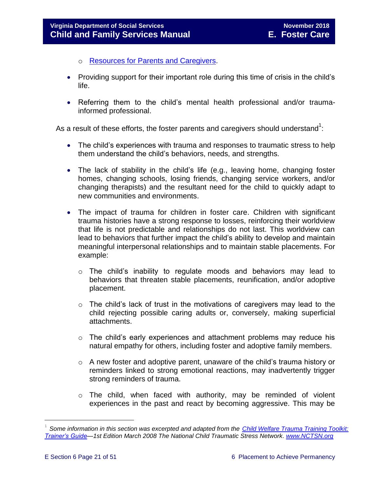#### **Virginia Department of Social Services November 2018 Child and Family Services Manual E. Foster Care**

- o [Resources for Parents and Caregivers.](http://www.nctsn.org/resources/audiences/parents-caregivers)
- Providing support for their important role during this time of crisis in the child's life.
- Referring them to the child's mental health professional and/or traumainformed professional.

As a result of these efforts, the foster parents and caregivers should understand $^1$ :

- The child's experiences with trauma and responses to traumatic stress to help them understand the child's behaviors, needs, and strengths.
- The lack of stability in the child's life (e.g., leaving home, changing foster homes, changing schools, losing friends, changing service workers, and/or changing therapists) and the resultant need for the child to quickly adapt to new communities and environments.
- The impact of trauma for children in foster care. Children with significant trauma histories have a strong response to losses, reinforcing their worldview that life is not predictable and relationships do not last. This worldview can lead to behaviors that further impact the child's ability to develop and maintain meaningful interpersonal relationships and to maintain stable placements. For example:
	- $\circ$  The child's inability to regulate moods and behaviors may lead to behaviors that threaten stable placements, reunification, and/or adoptive placement.
	- $\circ$  The child's lack of trust in the motivations of caregivers may lead to the child rejecting possible caring adults or, conversely, making superficial attachments.
	- o The child's early experiences and attachment problems may reduce his natural empathy for others, including foster and adoptive family members.
	- $\circ$  A new foster and adoptive parent, unaware of the child's trauma history or reminders linked to strong emotional reactions, may inadvertently trigger strong reminders of trauma.
	- o The child, when faced with authority, may be reminded of violent experiences in the past and react by becoming aggressive. This may be

÷.

<sup>1</sup> *Some information in this section was excerpted and adapted from the [Child Welfare Trauma Training Toolkit:](http://www.nctsn.org/nctsn_assets/pdfs/CWT3_TrainersGuide.pdf)  [Trainer's Guide—](http://www.nctsn.org/nctsn_assets/pdfs/CWT3_TrainersGuide.pdf)1st Edition March 2008 The National Child Traumatic Stress Network. [www.NCTSN.org](file://///Vaultcelerra.co.dss.state.va.us/Workgroup/Family_Services/DFS%20Child%20and%20Family%20Services%20Manual/FC%20guidance%20updates%20forJanuary%202014%20posting/FOSTER%20CARE%20April%202013_updates%20to%20guidance%20for%20October%202013%20posting/www.NCTSN.org)*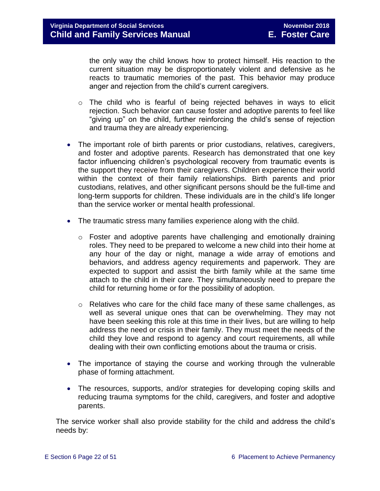the only way the child knows how to protect himself. His reaction to the current situation may be disproportionately violent and defensive as he reacts to traumatic memories of the past. This behavior may produce anger and rejection from the child's current caregivers.

- o The child who is fearful of being rejected behaves in ways to elicit rejection. Such behavior can cause foster and adoptive parents to feel like "giving up" on the child, further reinforcing the child's sense of rejection and trauma they are already experiencing.
- The important role of birth parents or prior custodians, relatives, caregivers, and foster and adoptive parents. Research has demonstrated that one key factor influencing children's psychological recovery from traumatic events is the support they receive from their caregivers. Children experience their world within the context of their family relationships. Birth parents and prior custodians, relatives, and other significant persons should be the full-time and long-term supports for children. These individuals are in the child's life longer than the service worker or mental health professional.
- The traumatic stress many families experience along with the child.
	- $\circ$  Foster and adoptive parents have challenging and emotionally draining roles. They need to be prepared to welcome a new child into their home at any hour of the day or night, manage a wide array of emotions and behaviors, and address agency requirements and paperwork. They are expected to support and assist the birth family while at the same time attach to the child in their care. They simultaneously need to prepare the child for returning home or for the possibility of adoption.
	- $\circ$  Relatives who care for the child face many of these same challenges, as well as several unique ones that can be overwhelming. They may not have been seeking this role at this time in their lives, but are willing to help address the need or crisis in their family. They must meet the needs of the child they love and respond to agency and court requirements, all while dealing with their own conflicting emotions about the trauma or crisis.
- The importance of staying the course and working through the vulnerable phase of forming attachment.
- The resources, supports, and/or strategies for developing coping skills and reducing trauma symptoms for the child, caregivers, and foster and adoptive parents.

The service worker shall also provide stability for the child and address the child's needs by: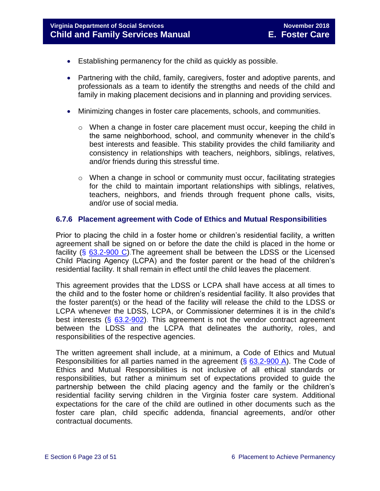- Establishing permanency for the child as quickly as possible.
- Partnering with the child, family, caregivers, foster and adoptive parents, and professionals as a team to identify the strengths and needs of the child and family in making placement decisions and in planning and providing services.
- Minimizing changes in foster care placements, schools, and communities.
	- $\circ$  When a change in foster care placement must occur, keeping the child in the same neighborhood, school, and community whenever in the child's best interests and feasible. This stability provides the child familiarity and consistency in relationships with teachers, neighbors, siblings, relatives, and/or friends during this stressful time.
	- $\circ$  When a change in school or community must occur, facilitating strategies for the child to maintain important relationships with siblings, relatives, teachers, neighbors, and friends through frequent phone calls, visits, and/or use of social media.

#### <span id="page-22-0"></span>**6.7.6 Placement agreement with Code of Ethics and Mutual Responsibilities**

Prior to placing the child in a foster home or children's residential facility, a written agreement shall be signed on or before the date the child is placed in the home or facility  $(\S$  [63.2-900 C\)](http://law.lis.virginia.gov/vacode/63.2-900/). The agreement shall be between the LDSS or the Licensed Child Placing Agency (LCPA) and the foster parent or the head of the children's residential facility. It shall remain in effect until the child leaves the placement.

This agreement provides that the LDSS or LCPA shall have access at all times to the child and to the foster home or children's residential facility. It also provides that the foster parent(s) or the head of the facility will release the child to the LDSS or LCPA whenever the LDSS, LCPA, or Commissioner determines it is in the child's best interests  $(\S$  [63.2-902\)](http://law.lis.virginia.gov/vacode/63.2-902/). This agreement is not the vendor contract agreement between the LDSS and the LCPA that delineates the authority, roles, and responsibilities of the respective agencies.

The written agreement shall include, at a minimum, a Code of Ethics and Mutual Responsibilities for all parties named in the agreement  $(\S$  [63.2-900 A\)](http://law.lis.virginia.gov/vacode/63.2-900/). The Code of Ethics and Mutual Responsibilities is not inclusive of all ethical standards or responsibilities, but rather a minimum set of expectations provided to guide the partnership between the child placing agency and the family or the children's residential facility serving children in the Virginia foster care system. Additional expectations for the care of the child are outlined in other documents such as the foster care plan, child specific addenda, financial agreements, and/or other contractual documents.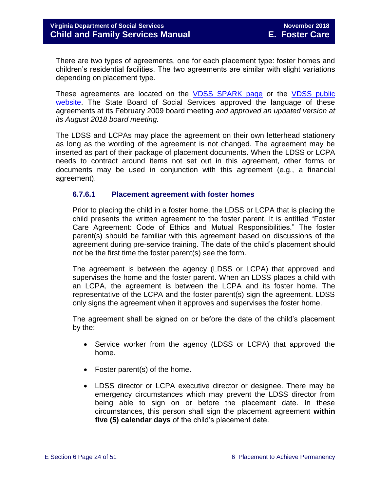There are two types of agreements, one for each placement type: foster homes and children's residential facilities. The two agreements are similar with slight variations depending on placement type.

These agreements are located on the [VDSS SPARK page](http://spark.dss.virginia.gov/divisions/dfs/fc/forms.cgi) or the [VDSS public](http://www.dss.virginia.gov/family/fc/index.cgi)  [website.](http://www.dss.virginia.gov/family/fc/index.cgi) The State Board of Social Services approved the language of these agreements at its February 2009 board meeting *and approved an updated version at its August 2018 board meeting.* 

The LDSS and LCPAs may place the agreement on their own letterhead stationery as long as the wording of the agreement is not changed. The agreement may be inserted as part of their package of placement documents. When the LDSS or LCPA needs to contract around items not set out in this agreement, other forms or documents may be used in conjunction with this agreement (e.g., a financial agreement).

#### <span id="page-23-0"></span>**6.7.6.1 Placement agreement with foster homes**

Prior to placing the child in a foster home, the LDSS or LCPA that is placing the child presents the written agreement to the foster parent. It is entitled "Foster Care Agreement: Code of Ethics and Mutual Responsibilities." The foster parent(s) should be familiar with this agreement based on discussions of the agreement during pre-service training. The date of the child's placement should not be the first time the foster parent(s) see the form.

The agreement is between the agency (LDSS or LCPA) that approved and supervises the home and the foster parent. When an LDSS places a child with an LCPA, the agreement is between the LCPA and its foster home. The representative of the LCPA and the foster parent(s) sign the agreement. LDSS only signs the agreement when it approves and supervises the foster home.

The agreement shall be signed on or before the date of the child's placement by the:

- Service worker from the agency (LDSS or LCPA) that approved the home.
- Foster parent(s) of the home.
- LDSS director or LCPA executive director or designee. There may be emergency circumstances which may prevent the LDSS director from being able to sign on or before the placement date. In these circumstances, this person shall sign the placement agreement **within five (5) calendar days** of the child's placement date.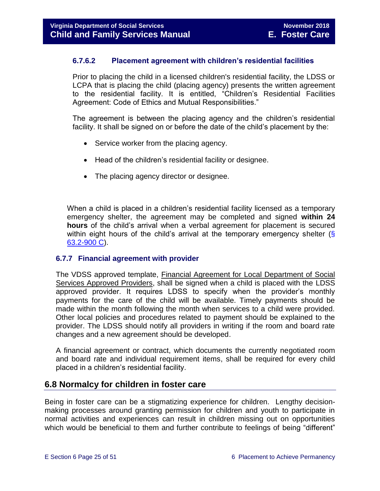#### <span id="page-24-0"></span>**6.7.6.2 Placement agreement with children's residential facilities**

Prior to placing the child in a licensed children's residential facility, the LDSS or LCPA that is placing the child (placing agency) presents the written agreement to the residential facility. It is entitled, "Children's Residential Facilities Agreement: Code of Ethics and Mutual Responsibilities."

The agreement is between the placing agency and the children's residential facility. It shall be signed on or before the date of the child's placement by the:

- Service worker from the placing agency.
- Head of the children's residential facility or designee.
- The placing agency director or designee.

When a child is placed in a children's residential facility licensed as a temporary emergency shelter, the agreement may be completed and signed **within 24 hours** of the child's arrival when a verbal agreement for placement is secured within eight hours of the child's arrival at the temporary emergency shelter  $(\S$ [63.2-900 C\)](http://law.lis.virginia.gov/vacode/63.2-900/).

#### <span id="page-24-1"></span>**6.7.7 Financial agreement with provider**

The VDSS approved template, [Financial Agreement for Local Department of Social](http://spark.dss.virginia.gov/divisions/dfs/resource_family/files/forms/032-02-0052-04-eng.xlsx)  [Services Approved Providers,](http://spark.dss.virginia.gov/divisions/dfs/resource_family/files/forms/032-02-0052-04-eng.xlsx) shall be signed when a child is placed with the LDSS approved provider. It requires LDSS to specify when the provider's monthly payments for the care of the child will be available. Timely payments should be made within the month following the month when services to a child were provided. Other local policies and procedures related to payment should be explained to the provider. The LDSS should notify all providers in writing if the room and board rate changes and a new agreement should be developed.

A financial agreement or contract, which documents the currently negotiated room and board rate and individual requirement items, shall be required for every child placed in a children's residential facility.

# <span id="page-24-2"></span>**6.8 Normalcy for children in foster care**

Being in foster care can be a stigmatizing experience for children. Lengthy decisionmaking processes around granting permission for children and youth to participate in normal activities and experiences can result in children missing out on opportunities which would be beneficial to them and further contribute to feelings of being "different"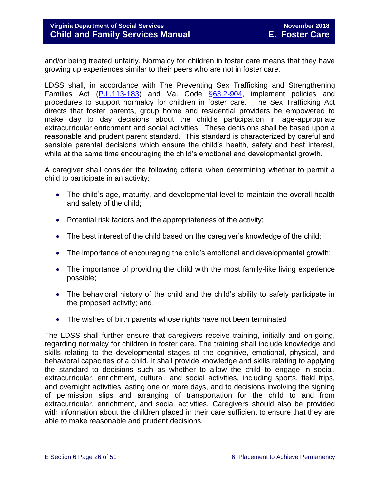and/or being treated unfairly. Normalcy for children in foster care means that they have growing up experiences similar to their peers who are not in foster care.

LDSS shall, in accordance with The Preventing Sex Trafficking and Strengthening Families Act [\(P.L.113-183\)](https://www.congress.gov/113/plaws/publ183/PLAW-113publ183.pdf) and Va. Code [§63.2-904,](http://law.lis.virginia.gov/vacode/63.2-904/) implement policies and procedures to support normalcy for children in foster care. The Sex Trafficking Act directs that foster parents, group home and residential providers be empowered to make day to day decisions about the child's participation in age-appropriate extracurricular enrichment and social activities. These decisions shall be based upon a reasonable and prudent parent standard. This standard is characterized by careful and sensible parental decisions which ensure the child's health, safety and best interest, while at the same time encouraging the child's emotional and developmental growth.

A caregiver shall consider the following criteria when determining whether to permit a child to participate in an activity:

- The child's age, maturity, and developmental level to maintain the overall health and safety of the child;
- Potential risk factors and the appropriateness of the activity;
- The best interest of the child based on the caregiver's knowledge of the child;
- The importance of encouraging the child's emotional and developmental growth;
- The importance of providing the child with the most family-like living experience possible;
- The behavioral history of the child and the child's ability to safely participate in the proposed activity; and,
- The wishes of birth parents whose rights have not been terminated

The LDSS shall further ensure that caregivers receive training, initially and on-going, regarding normalcy for children in foster care. The training shall include knowledge and skills relating to the developmental stages of the cognitive, emotional, physical, and behavioral capacities of a child. It shall provide knowledge and skills relating to applying the standard to decisions such as whether to allow the child to engage in social, extracurricular, enrichment, cultural, and social activities, including sports, field trips, and overnight activities lasting one or more days, and to decisions involving the signing of permission slips and arranging of transportation for the child to and from extracurricular, enrichment, and social activities. Caregivers should also be provided with information about the children placed in their care sufficient to ensure that they are able to make reasonable and prudent decisions.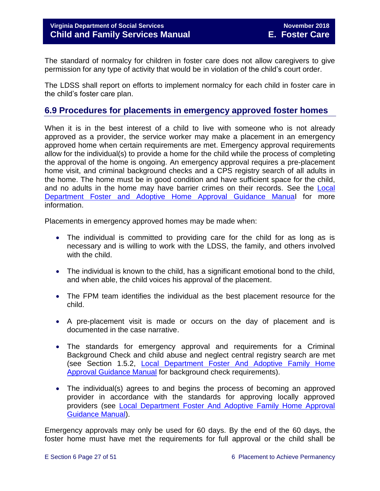The standard of normalcy for children in foster care does not allow caregivers to give permission for any type of activity that would be in violation of the child's court order.

The LDSS shall report on efforts to implement normalcy for each child in foster care in the child's foster care plan.

# <span id="page-26-0"></span>**6.9 Procedures for placements in emergency approved foster homes**

When it is in the best interest of a child to live with someone who is not already approved as a provider, the service worker may make a placement in an emergency approved home when certain requirements are met. Emergency approval requirements allow for the individual(s) to provide a home for the child while the process of completing the approval of the home is ongoing. An emergency approval requires a pre-placement home visit, and criminal background checks and a CPS registry search of all adults in the home. The home must be in good condition and have sufficient space for the child, and no adults in the home may have barrier crimes on their records. See the [Local](http://www.dss.virginia.gov/files/division/dfs/fc/intro_page/guidance_manuals/other/gudiance_2_13.pdf)  Department [Foster and Adoptive Home Approval Guidance Manual](http://www.dss.virginia.gov/files/division/dfs/fc/intro_page/guidance_manuals/other/gudiance_2_13.pdf) for more information.

Placements in emergency approved homes may be made when:

- The individual is committed to providing care for the child for as long as is necessary and is willing to work with the LDSS, the family, and others involved with the child.
- The individual is known to the child, has a significant emotional bond to the child, and when able, the child voices his approval of the placement.
- The FPM team identifies the individual as the best placement resource for the child.
- A pre-placement visit is made or occurs on the day of placement and is documented in the case narrative.
- The standards for emergency approval and requirements for a Criminal Background Check and child abuse and neglect central registry search are met (see Section 1.5.2, Local Department Foster And Adoptive Family Home [Approval Guidance Manual](http://www.dss.virginia.gov/files/division/dfs/fc/intro_page/guidance_manuals/other/gudiance_2_13.pdf) for background check requirements).
- The individual(s) agrees to and begins the process of becoming an approved provider in accordance with the standards for approving locally approved providers (see [Local Department Foster And Adoptive Family Home Approval](http://www.dss.virginia.gov/files/division/dfs/fc/intro_page/guidance_manuals/other/gudiance_2_13.pdf)  [Guidance Manual\)](http://www.dss.virginia.gov/files/division/dfs/fc/intro_page/guidance_manuals/other/gudiance_2_13.pdf).

Emergency approvals may only be used for 60 days. By the end of the 60 days, the foster home must have met the requirements for full approval or the child shall be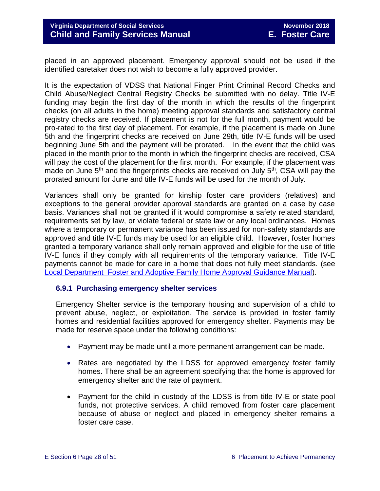placed in an approved placement. Emergency approval should not be used if the identified caretaker does not wish to become a fully approved provider.

It is the expectation of VDSS that National Finger Print Criminal Record Checks and Child Abuse/Neglect Central Registry Checks be submitted with no delay. Title IV-E funding may begin the first day of the month in which the results of the fingerprint checks (on all adults in the home) meeting approval standards and satisfactory central registry checks are received. If placement is not for the full month, payment would be pro-rated to the first day of placement. For example, if the placement is made on June 5th and the fingerprint checks are received on June 29th, title IV-E funds will be used beginning June 5th and the payment will be prorated. In the event that the child was placed in the month prior to the month in which the fingerprint checks are received, CSA will pay the cost of the placement for the first month. For example, if the placement was made on June  $5<sup>th</sup>$  and the fingerprints checks are received on July  $5<sup>th</sup>$ , CSA will pay the prorated amount for June and title IV-E funds will be used for the month of July.

Variances shall only be granted for kinship foster care providers (relatives) and exceptions to the general provider approval standards are granted on a case by case basis. Variances shall not be granted if it would compromise a safety related standard, requirements set by law, or violate federal or state law or any local ordinances. Homes where a temporary or permanent variance has been issued for non-safety standards are approved and title IV-E funds may be used for an eligible child. However, foster homes granted a temporary variance shall only remain approved and eligible for the use of title IV-E funds if they comply with all requirements of the temporary variance. Title IV-E payments cannot be made for care in a home that does not fully meet standards. (see [Local Department Foster and Adoptive Family Home Approval Guidance Manual\)](http://www.dss.virginia.gov/files/division/dfs/fc/intro_page/guidance_manuals/other/gudiance_2_13.pdf).

#### <span id="page-27-0"></span>**6.9.1 Purchasing emergency shelter services**

Emergency Shelter service is the temporary housing and supervision of a child to prevent abuse, neglect, or exploitation. The service is provided in foster family homes and residential facilities approved for emergency shelter. Payments may be made for reserve space under the following conditions:

- Payment may be made until a more permanent arrangement can be made.
- Rates are negotiated by the LDSS for approved emergency foster family homes. There shall be an agreement specifying that the home is approved for emergency shelter and the rate of payment.
- Payment for the child in custody of the LDSS is from title IV-E or state pool funds, not protective services. A child removed from foster care placement because of abuse or neglect and placed in emergency shelter remains a foster care case.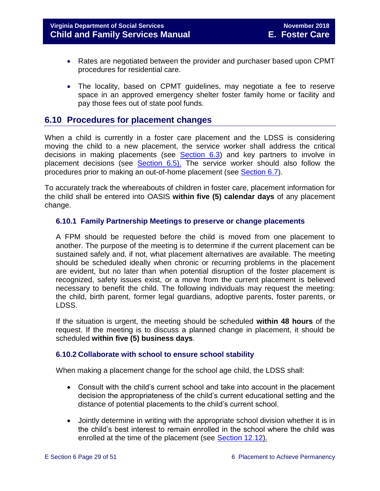- Rates are negotiated between the provider and purchaser based upon CPMT procedures for residential care.
- The locality, based on CPMT guidelines, may negotiate a fee to reserve space in an approved emergency shelter foster family home or facility and pay those fees out of state pool funds.

# <span id="page-28-0"></span>**6.10 Procedures for placement changes**

When a child is currently in a foster care placement and the LDSS is considering moving the child to a new placement, the service worker shall address the critical decisions in making placements (see [Section](#page-9-0) 6.3) and key partners to involve in placement decisions (see **[Section](#page-14-0) 6.5).** The service worker should also follow the procedures prior to making an out-of-home placement (see [Section 6.7\)](#page-15-1).

To accurately track the whereabouts of children in foster care, placement information for the child shall be entered into OASIS **within five (5) calendar days** of any placement change.

#### <span id="page-28-1"></span>**6.10.1 Family Partnership Meetings to preserve or change placements**

A FPM should be requested before the child is moved from one placement to another. The purpose of the meeting is to determine if the current placement can be sustained safely and, if not, what placement alternatives are available. The meeting should be scheduled ideally when chronic or recurring problems in the placement are evident, but no later than when potential disruption of the foster placement is recognized, safety issues exist, or a move from the current placement is believed necessary to benefit the child. The following individuals may request the meeting: the child, birth parent, former legal guardians, adoptive parents, foster parents, or LDSS.

If the situation is urgent, the meeting should be scheduled **within 48 hours** of the request. If the meeting is to discuss a planned change in placement, it should be scheduled **within five (5) business days**.

#### <span id="page-28-2"></span>**6.10.2 Collaborate with school to ensure school stability**

When making a placement change for the school age child, the LDSS shall:

- Consult with the child's current school and take into account in the placement decision the appropriateness of the child's current educational setting and the distance of potential placements to the child's current school.
- Jointly determine in writing with the appropriate school division whether it is in the child's best interest to remain enrolled in the school where the child was enrolled at the time of the placement (see [Section 12.12\)](file://///Vaultcelerra.co.dss.state.va.us/Workgroup/Family_Services/DFS%20Child%20and%20Family%20Services%20Manual/E.%20Foster%20Care/Foster%20Care%20June%202017/section_12_identifying_services_to_be_provided.draft.docx).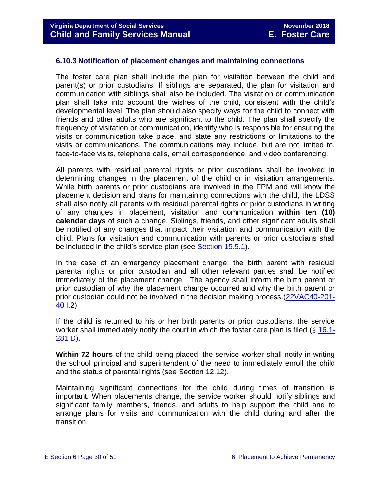#### <span id="page-29-0"></span>**6.10.3 Notification of placement changes and maintaining connections**

The foster care plan shall include the plan for visitation between the child and parent(s) or prior custodians. If siblings are separated, the plan for visitation and communication with siblings shall also be included. The visitation or communication plan shall take into account the wishes of the child, consistent with the child's developmental level. The plan should also specify ways for the child to connect with friends and other adults who are significant to the child. The plan shall specify the frequency of visitation or communication, identify who is responsible for ensuring the visits or communication take place, and state any restrictions or limitations to the visits or communications. The communications may include, but are not limited to, face-to-face visits, telephone calls, email correspondence, and video conferencing.

All parents with residual parental rights or prior custodians shall be involved in determining changes in the placement of the child or in visitation arrangements. While birth parents or prior custodians are involved in the FPM and will know the placement decision and plans for maintaining connections with the child, the LDSS shall also notify all parents with residual parental rights or prior custodians in writing of any changes in placement, visitation and communication **within ten (10) calendar days** of such a change. Siblings, friends, and other significant adults shall be notified of any changes that impact their visitation and communication with the child. Plans for visitation and communication with parents or prior custodians shall be included in the child's service plan (see [Section 15.5.1\)](file://///Vaultcelerra.co.dss.state.va.us/Workgroup/Family_Services/DFS%20Child%20and%20Family%20Services%20Manual/E.%20Foster%20Care/Foster%20Care%20June%202017/section_15_developing_service_plan.draft.docx).

In the case of an emergency placement change, the birth parent with residual parental rights or prior custodian and all other relevant parties shall be notified immediately of the placement change. The agency shall inform the birth parent or prior custodian of why the placement change occurred and why the birth parent or prior custodian could not be involved in the decision making process.[\(22VAC40-201-](http://leg1.state.va.us/cgi-bin/legp504.exe?000+reg+22VAC40-201-40) [40](http://leg1.state.va.us/cgi-bin/legp504.exe?000+reg+22VAC40-201-40) I.2)

If the child is returned to his or her birth parents or prior custodians, the service worker shall immediately notify the court in which the foster care plan is filed (§ [16.1-](http://law.lis.virginia.gov/vacode/16.1-281/) [281 D\)](http://law.lis.virginia.gov/vacode/16.1-281/).

**Within 72 hours** of the child being placed, the service worker shall notify in writing the school principal and superintendent of the need to immediately enroll the child and the status of parental rights (see Section 12.12).

Maintaining significant connections for the child during times of transition is important. When placements change, the service worker should notify siblings and significant family members, friends, and adults to help support the child and to arrange plans for visits and communication with the child during and after the transition.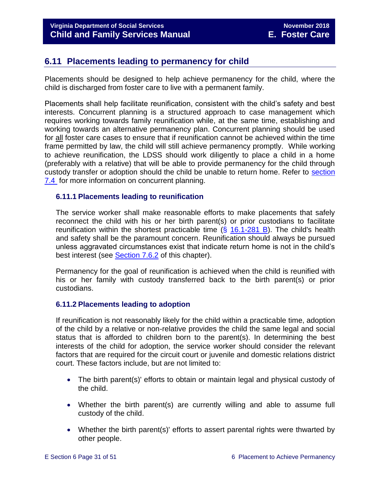# <span id="page-30-0"></span>**6.11 Placements leading to permanency for child**

Placements should be designed to help achieve permanency for the child, where the child is discharged from foster care to live with a permanent family.

Placements shall help facilitate reunification, consistent with the child's safety and best interests. Concurrent planning is a structured approach to case management which requires working towards family reunification while, at the same time, establishing and working towards an alternative permanency plan. Concurrent planning should be used for all foster care cases to ensure that if reunification cannot be achieved within the time frame permitted by law, the child will still achieve permanency promptly. While working to achieve reunification, the LDSS should work diligently to place a child in a home (preferably with a relative) that will be able to provide permanency for the child through custody transfer or adoption should the child be unable to return home. Refer to [section](file://///Vaultcelerra.co.dss.state.va.us/Workgroup/Family_Services/DFS%20Child%20and%20Family%20Services%20Manual/E.%20Foster%20Care/Foster%20Care%20June%202017/section_7_selecting_permanency_goals.docx)  [7.4](file://///Vaultcelerra.co.dss.state.va.us/Workgroup/Family_Services/DFS%20Child%20and%20Family%20Services%20Manual/E.%20Foster%20Care/Foster%20Care%20June%202017/section_7_selecting_permanency_goals.docx) for more information on concurrent planning.

#### <span id="page-30-1"></span>**6.11.1 Placements leading to reunification**

The service worker shall make reasonable efforts to make placements that safely reconnect the child with his or her birth parent(s) or prior custodians to facilitate reunification within the shortest practicable time  $(\S 16.1-281 B)$  $(\S 16.1-281 B)$ . The child's health and safety shall be the paramount concern. Reunification should always be pursued unless aggravated circumstances exist that indicate return home is not in the child's best interest (see **Section 7.6.2** of this chapter).

Permanency for the goal of reunification is achieved when the child is reunified with his or her family with custody transferred back to the birth parent(s) or prior custodians.

#### <span id="page-30-2"></span>**6.11.2 Placements leading to adoption**

If reunification is not reasonably likely for the child within a practicable time, adoption of the child by a relative or non-relative provides the child the same legal and social status that is afforded to children born to the parent(s). In determining the best interests of the child for adoption, the service worker should consider the relevant factors that are required for the circuit court or juvenile and domestic relations district court. These factors include, but are not limited to:

- The birth parent(s)' efforts to obtain or maintain legal and physical custody of the child.
- Whether the birth parent(s) are currently willing and able to assume full custody of the child.
- Whether the birth parent(s)' efforts to assert parental rights were thwarted by other people.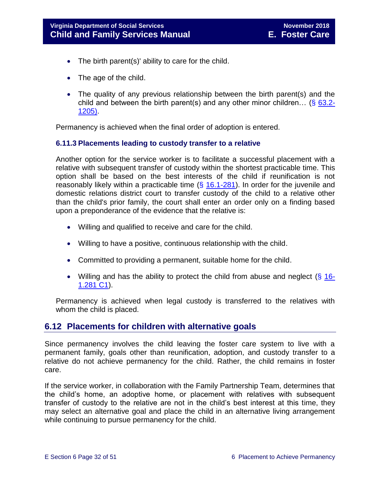- The birth parent(s)' ability to care for the child.
- The age of the child.
- The quality of any previous relationship between the birth parent(s) and the child and between the birth parent(s) and any other minor children... (§  $63.2$ -[1205\).](http://law.lis.virginia.gov/vacode/63.2-1205/)

Permanency is achieved when the final order of adoption is entered.

#### <span id="page-31-0"></span>**6.11.3 Placements leading to custody transfer to a relative**

Another option for the service worker is to facilitate a successful placement with a relative with subsequent transfer of custody within the shortest practicable time. This option shall be based on the best interests of the child if reunification is not reasonably likely within a practicable time  $(\S 16.1-281)$  $(\S 16.1-281)$ . In order for the juvenile and domestic relations district court to transfer custody of the child to a relative other than the child's prior family, the court shall enter an order only on a finding based upon a preponderance of the evidence that the relative is:

- Willing and qualified to receive and care for the child.
- Willing to have a positive, continuous relationship with the child.
- Committed to providing a permanent, suitable home for the child.
- Willing and has the ability to protect the child from abuse and neglect  $(\S 16$ -[1.281 C1\)](http://law.lis.virginia.gov/vacode/16.1-281/).

Permanency is achieved when legal custody is transferred to the relatives with whom the child is placed.

# <span id="page-31-1"></span>**6.12 Placements for children with alternative goals**

Since permanency involves the child leaving the foster care system to live with a permanent family, goals other than reunification, adoption, and custody transfer to a relative do not achieve permanency for the child. Rather, the child remains in foster care.

If the service worker, in collaboration with the Family Partnership Team, determines that the child's home, an adoptive home, or placement with relatives with subsequent transfer of custody to the relative are not in the child's best interest at this time, they may select an alternative goal and place the child in an alternative living arrangement while continuing to pursue permanency for the child.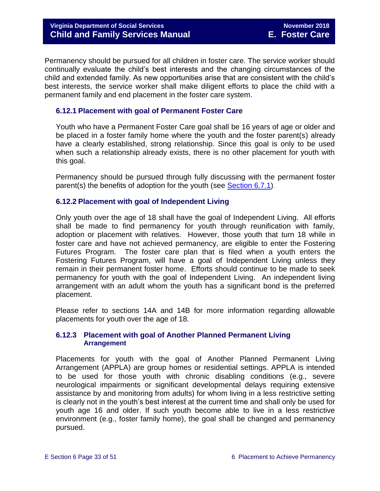Permanency should be pursued for all children in foster care. The service worker should continually evaluate the child's best interests and the changing circumstances of the child and extended family. As new opportunities arise that are consistent with the child's best interests, the service worker shall make diligent efforts to place the child with a permanent family and end placement in the foster care system.

#### <span id="page-32-0"></span>**6.12.1 Placement with goal of Permanent Foster Care**

Youth who have a Permanent Foster Care goal shall be 16 years of age or older and be placed in a foster family home where the youth and the foster parent(s) already have a clearly established, strong relationship. Since this goal is only to be used when such a relationship already exists, there is no other placement for youth with this goal.

Permanency should be pursued through fully discussing with the permanent foster parent(s) the benefits of adoption for the youth (see [Section](#page-16-0) 6.7.1).

#### <span id="page-32-1"></span>**6.12.2 Placement with goal of Independent Living**

Only youth over the age of 18 shall have the goal of Independent Living. All efforts shall be made to find permanency for youth through reunification with family, adoption or placement with relatives. However, those youth that turn 18 while in foster care and have not achieved permanency, are eligible to enter the Fostering Futures Program. The foster care plan that is filed when a youth enters the Fostering Futures Program, will have a goal of Independent Living unless they remain in their permanent foster home. Efforts should continue to be made to seek permanency for youth with the goal of Independent Living. An independent living arrangement with an adult whom the youth has a significant bond is the preferred placement.

Please refer to sections 14A and 14B for more information regarding allowable placements for youth over the age of 18.

#### <span id="page-32-2"></span>**6.12.3 Placement with goal of Another Planned Permanent Living Arrangement**

Placements for youth with the goal of Another Planned Permanent Living Arrangement (APPLA) are group homes or residential settings. APPLA is intended to be used for those youth with chronic disabling conditions (e.g., severe neurological impairments or significant developmental delays requiring extensive assistance by and monitoring from adults) for whom living in a less restrictive setting is clearly not in the youth's best interest at the current time and shall only be used for youth age 16 and older. If such youth become able to live in a less restrictive environment (e.g., foster family home), the goal shall be changed and permanency pursued.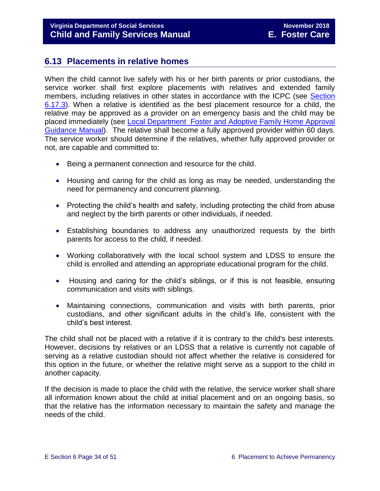# <span id="page-33-0"></span>**6.13 Placements in relative homes**

When the child cannot live safely with his or her birth parents or prior custodians, the service worker shall first explore placements with relatives and extended family members, including relatives in other states in accordance with the ICPC (see [Section](#page-47-2)  [6.17.3\)](#page-47-2). When a relative is identified as the best placement resource for a child, the relative may be approved as a provider on an emergency basis and the child may be placed immediately (see [Local Department Foster and Adoptive Family Home Approval](http://www.dss.virginia.gov/files/division/dfs/fc/intro_page/guidance_manuals/other/gudiance_2_13.pdf)  [Guidance Manual\)](http://www.dss.virginia.gov/files/division/dfs/fc/intro_page/guidance_manuals/other/gudiance_2_13.pdf). The relative shall become a fully approved provider within 60 days. The service worker should determine if the relatives, whether fully approved provider or not, are capable and committed to:

- Being a permanent connection and resource for the child.
- Housing and caring for the child as long as may be needed, understanding the need for permanency and concurrent planning.
- Protecting the child's health and safety, including protecting the child from abuse and neglect by the birth parents or other individuals, if needed.
- Establishing boundaries to address any unauthorized requests by the birth parents for access to the child, if needed.
- Working collaboratively with the local school system and LDSS to ensure the child is enrolled and attending an appropriate educational program for the child.
- Housing and caring for the child's siblings, or if this is not feasible, ensuring communication and visits with siblings.
- Maintaining connections, communication and visits with birth parents, prior custodians, and other significant adults in the child's life, consistent with the child's best interest.

The child shall not be placed with a relative if it is contrary to the child's best interests. However, decisions by relatives or an LDSS that a relative is currently not capable of serving as a relative custodian should not affect whether the relative is considered for this option in the future, or whether the relative might serve as a support to the child in another capacity.

If the decision is made to place the child with the relative, the service worker shall share all information known about the child at initial placement and on an ongoing basis, so that the relative has the information necessary to maintain the safety and manage the needs of the child.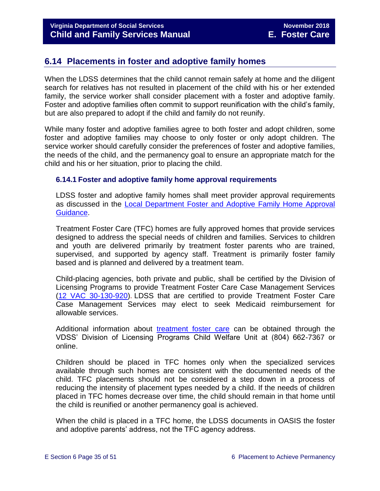# <span id="page-34-0"></span>**6.14 Placements in foster and adoptive family homes**

When the LDSS determines that the child cannot remain safely at home and the diligent search for relatives has not resulted in placement of the child with his or her extended family, the service worker shall consider placement with a foster and adoptive family. Foster and adoptive families often commit to support reunification with the child's family, but are also prepared to adopt if the child and family do not reunify.

While many foster and adoptive families agree to both foster and adopt children, some foster and adoptive families may choose to only foster or only adopt children. The service worker should carefully consider the preferences of foster and adoptive families, the needs of the child, and the permanency goal to ensure an appropriate match for the child and his or her situation, prior to placing the child.

#### <span id="page-34-1"></span>**6.14.1 Foster and adoptive family home approval requirements**

LDSS foster and adoptive family homes shall meet provider approval requirements as discussed in the [Local Department Foster and Adoptive Family Home Approval](http://www.dss.virginia.gov/files/division/dfs/fc/intro_page/guidance_manuals/other/gudiance_2_13.pdf)  [Guidance.](http://www.dss.virginia.gov/files/division/dfs/fc/intro_page/guidance_manuals/other/gudiance_2_13.pdf)

Treatment Foster Care (TFC) homes are fully approved homes that provide services designed to address the special needs of children and families. Services to children and youth are delivered primarily by treatment foster parents who are trained, supervised, and supported by agency staff. Treatment is primarily foster family based and is planned and delivered by a treatment team.

Child-placing agencies, both private and public, shall be certified by the Division of Licensing Programs to provide Treatment Foster Care Case Management Services [\(12 VAC 30-130-920\)](http://leg1.state.va.us/cgi-bin/legp504.exe?000+reg+12VAC30-130-920). LDSS that are certified to provide Treatment Foster Care Case Management Services may elect to seek Medicaid reimbursement for allowable services.

Additional information about [treatment foster care](http://www.dss.virginia.gov/facility/cpa/treatment.html) can be obtained through the VDSS' Division of Licensing Programs Child Welfare Unit at (804) 662-7367 or online.

Children should be placed in TFC homes only when the specialized services available through such homes are consistent with the documented needs of the child. TFC placements should not be considered a step down in a process of reducing the intensity of placement types needed by a child. If the needs of children placed in TFC homes decrease over time, the child should remain in that home until the child is reunified or another permanency goal is achieved.

When the child is placed in a TFC home, the LDSS documents in OASIS the foster and adoptive parents' address, not the TFC agency address.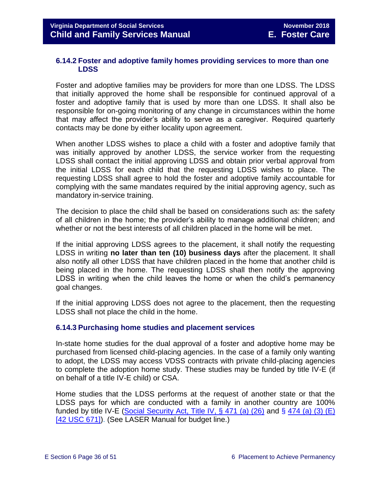#### <span id="page-35-0"></span>**6.14.2 Foster and adoptive family homes providing services to more than one LDSS**

Foster and adoptive families may be providers for more than one LDSS. The LDSS that initially approved the home shall be responsible for continued approval of a foster and adoptive family that is used by more than one LDSS. It shall also be responsible for on-going monitoring of any change in circumstances within the home that may affect the provider's ability to serve as a caregiver. Required quarterly contacts may be done by either locality upon agreement.

When another LDSS wishes to place a child with a foster and adoptive family that was initially approved by another LDSS, the service worker from the requesting LDSS shall contact the initial approving LDSS and obtain prior verbal approval from the initial LDSS for each child that the requesting LDSS wishes to place. The requesting LDSS shall agree to hold the foster and adoptive family accountable for complying with the same mandates required by the initial approving agency, such as mandatory in-service training.

The decision to place the child shall be based on considerations such as: the safety of all children in the home; the provider's ability to manage additional children; and whether or not the best interests of all children placed in the home will be met.

If the initial approving LDSS agrees to the placement, it shall notify the requesting LDSS in writing **no later than ten (10) business days** after the placement. It shall also notify all other LDSS that have children placed in the home that another child is being placed in the home. The requesting LDSS shall then notify the approving LDSS in writing when the child leaves the home or when the child's permanency goal changes.

If the initial approving LDSS does not agree to the placement, then the requesting LDSS shall not place the child in the home.

#### <span id="page-35-1"></span>**6.14.3 Purchasing home studies and placement services**

In-state home studies for the dual approval of a foster and adoptive home may be purchased from licensed child-placing agencies. In the case of a family only wanting to adopt, the LDSS may access VDSS contracts with private child-placing agencies to complete the adoption home study. These studies may be funded by title IV-E (if on behalf of a title IV-E child) or CSA.

Home studies that the LDSS performs at the request of another state or that the LDSS pays for which are conducted with a family in another country are 100% funded by title IV-E [\(Social Security Act, Title IV, § 471 \(a\) \(26\)](http://www.ssa.gov/OP_Home/ssact/title04/0471.htm) and § 474 (a) (3) (E) [\[42 USC 671\]\)](http://www.ssa.gov/OP_Home/ssact/title04/0474.htm). (See LASER Manual for budget line.)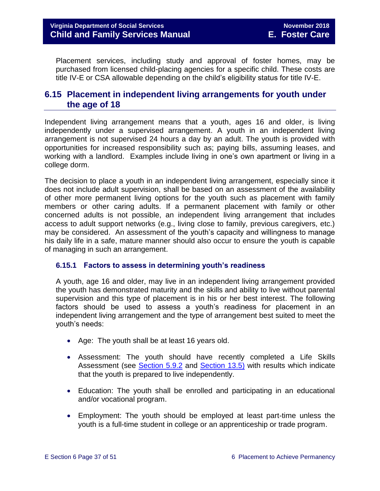Placement services, including study and approval of foster homes, may be purchased from licensed child-placing agencies for a specific child. These costs are title IV-E or CSA allowable depending on the child's eligibility status for title IV-E.

# <span id="page-36-0"></span>**6.15 Placement in independent living arrangements for youth under the age of 18**

Independent living arrangement means that a youth, ages 16 and older, is living independently under a supervised arrangement. A youth in an independent living arrangement is not supervised 24 hours a day by an adult. The youth is provided with opportunities for increased responsibility such as; paying bills, assuming leases, and working with a landlord. Examples include living in one's own apartment or living in a college dorm.

The decision to place a youth in an independent living arrangement, especially since it does not include adult supervision, shall be based on an assessment of the availability of other more permanent living options for the youth such as placement with family members or other caring adults. If a permanent placement with family or other concerned adults is not possible, an independent living arrangement that includes access to adult support networks (e.g., living close to family, previous caregivers, etc.) may be considered. An assessment of the youth's capacity and willingness to manage his daily life in a safe, mature manner should also occur to ensure the youth is capable of managing in such an arrangement.

#### <span id="page-36-1"></span>**6.15.1 Factors to assess in determining youth's readiness**

A youth, age 16 and older, may live in an independent living arrangement provided the youth has demonstrated maturity and the skills and ability to live without parental supervision and this type of placement is in his or her best interest. The following factors should be used to assess a youth's readiness for placement in an independent living arrangement and the type of arrangement best suited to meet the youth's needs:

- Age: The youth shall be at least 16 years old.
- Assessment: The youth should have recently completed a Life Skills Assessment (see [Section 5.9.2](file://///Vaultcelerra.co.dss.state.va.us/Workgroup/Family_Services/DFS%20Child%20and%20Family%20Services%20Manual/E.%20Foster%20Care/Foster%20Care%20June%202017/section_5_conducting_child_and_family_assessment.docx) and [Section 13.5\)](file://///Vaultcelerra.co.dss.state.va.us/Workgroup/Family_Services/DFS%20Child%20and%20Family%20Services%20Manual/E.%20Foster%20Care/Foster%20Care%20June%202017/Section_13_achieving_permanency_for_older_youth.docx) with results which indicate that the youth is prepared to live independently.
- Education: The youth shall be enrolled and participating in an educational and/or vocational program.
- Employment: The youth should be employed at least part-time unless the youth is a full-time student in college or an apprenticeship or trade program.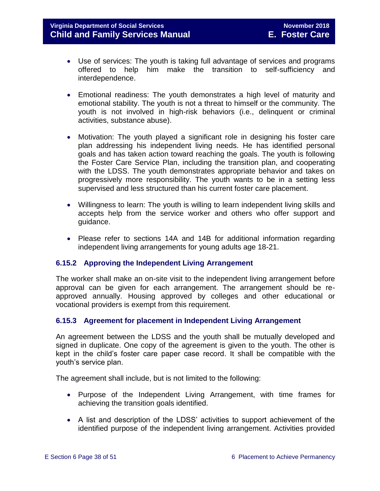- Use of services: The youth is taking full advantage of services and programs offered to help him make the transition to self-sufficiency and interdependence.
- Emotional readiness: The youth demonstrates a high level of maturity and emotional stability. The youth is not a threat to himself or the community. The youth is not involved in high-risk behaviors (i.e., delinquent or criminal activities, substance abuse).
- Motivation: The youth played a significant role in designing his foster care plan addressing his independent living needs. He has identified personal goals and has taken action toward reaching the goals. The youth is following the Foster Care Service Plan, including the transition plan, and cooperating with the LDSS. The youth demonstrates appropriate behavior and takes on progressively more responsibility. The youth wants to be in a setting less supervised and less structured than his current foster care placement.
- Willingness to learn: The youth is willing to learn independent living skills and accepts help from the service worker and others who offer support and guidance.
- Please refer to sections 14A and 14B for additional information regarding independent living arrangements for young adults age 18-21.

#### <span id="page-37-0"></span>**6.15.2 Approving the Independent Living Arrangement**

The worker shall make an on-site visit to the independent living arrangement before approval can be given for each arrangement. The arrangement should be reapproved annually. Housing approved by colleges and other educational or vocational providers is exempt from this requirement.

#### <span id="page-37-1"></span>**6.15.3 Agreement for placement in Independent Living Arrangement**

An agreement between the LDSS and the youth shall be mutually developed and signed in duplicate. One copy of the agreement is given to the youth. The other is kept in the child's foster care paper case record. It shall be compatible with the youth's service plan.

The agreement shall include, but is not limited to the following:

- Purpose of the Independent Living Arrangement, with time frames for achieving the transition goals identified.
- A list and description of the LDSS' activities to support achievement of the identified purpose of the independent living arrangement. Activities provided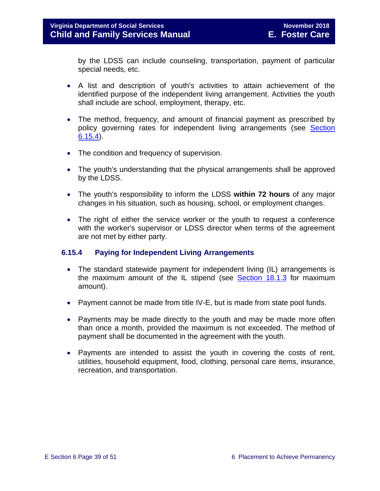by the LDSS can include counseling, transportation, payment of particular special needs, etc.

- A list and description of youth's activities to attain achievement of the identified purpose of the independent living arrangement. Activities the youth shall include are school, employment, therapy, etc.
- The method, frequency, and amount of financial payment as prescribed by policy governing rates for independent living arrangements (see [Section](#page-38-0) [6.15.4\)](#page-38-0).
- The condition and frequency of supervision.
- The youth's understanding that the physical arrangements shall be approved by the LDSS.
- The youth's responsibility to inform the LDSS **within 72 hours** of any major changes in his situation, such as housing, school, or employment changes.
- The right of either the service worker or the youth to request a conference with the worker's supervisor or LDSS director when terms of the agreement are not met by either party.

#### <span id="page-38-0"></span>**6.15.4 Paying for Independent Living Arrangements**

- The standard statewide payment for independent living (IL) arrangements is the maximum amount of the IL stipend (see [Section 18.1.3](file://///Vaultcelerra.co.dss.state.va.us/Workgroup/Family_Services/DFS%20Child%20and%20Family%20Services%20Manual/E.%20Foster%20Care/Foster%20Care%20June%202017/section_18_funding_maintenance_costs.draft.docx) for maximum amount).
- Payment cannot be made from title IV-E, but is made from state pool funds.
- Payments may be made directly to the youth and may be made more often than once a month, provided the maximum is not exceeded. The method of payment shall be documented in the agreement with the youth.
- Payments are intended to assist the youth in covering the costs of rent, utilities, household equipment, food, clothing, personal care items, insurance, recreation, and transportation.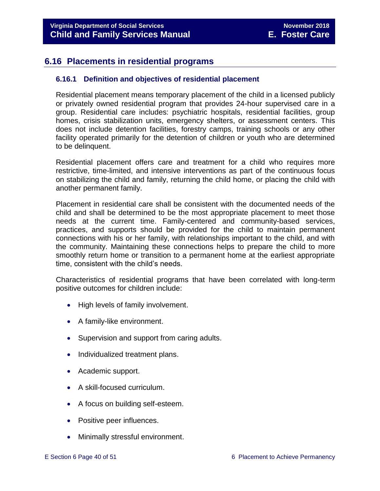# <span id="page-39-0"></span>**6.16 Placements in residential programs**

#### <span id="page-39-1"></span>**6.16.1 Definition and objectives of residential placement**

Residential placement means temporary placement of the child in a licensed publicly or privately owned residential program that provides 24-hour supervised care in a group. Residential care includes: psychiatric hospitals, residential facilities, group homes, crisis stabilization units, emergency shelters, or assessment centers. This does not include detention facilities, forestry camps, training schools or any other facility operated primarily for the detention of children or youth who are determined to be delinquent.

Residential placement offers care and treatment for a child who requires more restrictive, time-limited, and intensive interventions as part of the continuous focus on stabilizing the child and family, returning the child home, or placing the child with another permanent family.

Placement in residential care shall be consistent with the documented needs of the child and shall be determined to be the most appropriate placement to meet those needs at the current time. Family-centered and community-based services, practices, and supports should be provided for the child to maintain permanent connections with his or her family, with relationships important to the child, and with the community. Maintaining these connections helps to prepare the child to more smoothly return home or transition to a permanent home at the earliest appropriate time, consistent with the child's needs.

Characteristics of residential programs that have been correlated with long-term positive outcomes for children include:

- High levels of family involvement.
- A family-like environment.
- Supervision and support from caring adults.
- Individualized treatment plans.
- Academic support.
- A skill-focused curriculum.
- A focus on building self-esteem.
- Positive peer influences.
- Minimally stressful environment.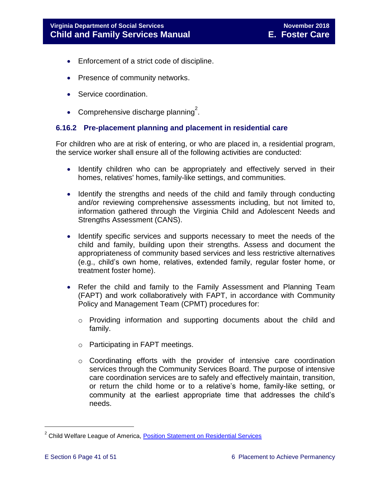- Enforcement of a strict code of discipline.
- Presence of community networks.
- Service coordination.
- Comprehensive discharge planning<sup>2</sup>.

#### <span id="page-40-0"></span>**6.16.2 Pre-placement planning and placement in residential care**

For children who are at risk of entering, or who are placed in, a residential program, the service worker shall ensure all of the following activities are conducted:

- Identify children who can be appropriately and effectively served in their homes, relatives' homes, family-like settings, and communities.
- Identify the strengths and needs of the child and family through conducting and/or reviewing comprehensive assessments including, but not limited to, information gathered through the [Virginia Child and Adolescent Needs and](http://www.csa.virginia.gov/html/CANS/cans_information.cfm)  [Strengths Assessment \(CANS\).](http://www.csa.virginia.gov/html/CANS/cans_information.cfm)
- Identify specific services and supports necessary to meet the needs of the child and family, building upon their strengths. Assess and document the appropriateness of community based services and less restrictive alternatives (e.g., child's own home, relatives, extended family, regular foster home, or treatment foster home).
- Refer the child and family to the Family Assessment and Planning Team (FAPT) and work collaboratively with FAPT, in accordance with Community Policy and Management Team (CPMT) procedures for:
	- o Providing information and supporting documents about the child and family.
	- o Participating in FAPT meetings.
	- o Coordinating efforts with the provider of intensive care coordination services through the Community Services Board. The purpose of intensive care coordination services are to safely and effectively maintain, transition, or return the child home or to a relative's home, family-like setting, or community at the earliest appropriate time that addresses the child's needs.

i<br>L

<sup>&</sup>lt;sup>2</sup> Child Welfare League of America, <u>Position Statement on Residential Services</u>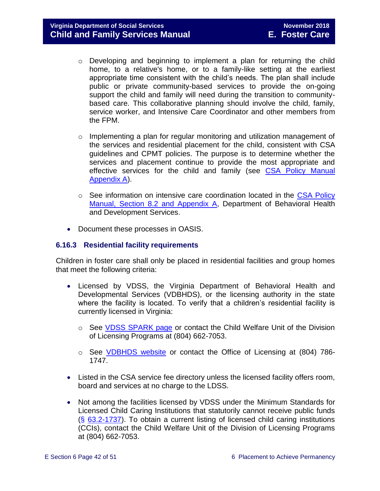**Virginia Department of Social Services November 2018 Child and Family Services Manual E. Foster Care**

- $\circ$  Developing and beginning to implement a plan for returning the child home, to a relative's home, or to a family-like setting at the earliest appropriate time consistent with the child's needs. The plan shall include public or private community-based services to provide the on-going support the child and family will need during the transition to communitybased care. This collaborative planning should involve the child, family, service worker, and Intensive Care Coordinator and other members from the FPM.
- o Implementing a plan for regular monitoring and utilization management of the services and residential placement for the child, consistent with CSA guidelines and CPMT policies. The purpose is to determine whether the services and placement continue to provide the most appropriate and effective services for the child and family (see CSA Policy Manual [Appendix A\)](http://www.csa.virginia.gov/html/manual_pubs/csa_manual_publications.cfm).
- $\circ$  See information on intensive care coordination located in the CSA Policy Manual, Section [8.2 and Appendix A,](http://www.csa.virginia.gov/html/manual_pubs/csa_manual_publications.cfm) Department of Behavioral Health and Development Services.
- Document these processes in OASIS.

#### <span id="page-41-0"></span>**6.16.3 Residential facility requirements**

Children in foster care shall only be placed in residential facilities and group homes that meet the following criteria:

- Licensed by VDSS, the Virginia Department of Behavioral Health and Developmental Services (VDBHDS), or the licensing authority in the state where the facility is located. To verify that a children's residential facility is currently licensed in Virginia:
	- o See [VDSS SPARK page](http://spark.dss.virginia.gov/divisions/dolp/) or contact the Child Welfare Unit of the Division of Licensing Programs at (804) 662-7053.
	- $\circ$  See [VDBHDS website](http://www.dbhds.virginia.gov/professionals-and-service-providers/licensing) or contact the Office of Licensing at (804) 786-1747.
- Listed in the CSA service fee directory unless the licensed facility offers room, board and services at no charge to the LDSS.
- Not among the facilities licensed by VDSS under the Minimum Standards for Licensed Child Caring Institutions that statutorily cannot receive public funds (§ [63.2-1737\)](http://law.lis.virginia.gov/vacode/63.2-1737/). To obtain a current listing of licensed child caring institutions (CCIs), contact the Child Welfare Unit of the Division of Licensing Programs at (804) 662-7053.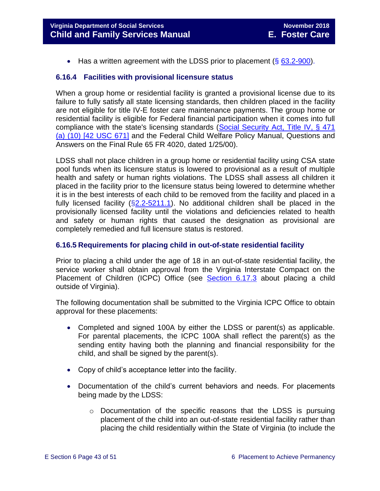Has a written agreement with the LDSS prior to placement  $(\S 63.2-900)$  $(\S 63.2-900)$ .

#### <span id="page-42-0"></span>**6.16.4 Facilities with provisional licensure status**

When a group home or residential facility is granted a provisional license due to its failure to fully satisfy all state licensing standards, then children placed in the facility are not eligible for title IV-E foster care maintenance payments. The group home or residential facility is eligible for Federal financial participation when it comes into full compliance with the state's licensing standards (Social Security Act, Title IV, § 471 [\(a\) \(10\) \[42 USC 671\]](http://www.ssa.gov/OP_Home/ssact/title04/0471.htm) and the Federal Child Welfare Policy Manual, Questions and Answers on the Final Rule 65 FR 4020, dated 1/25/00).

LDSS shall not place children in a group home or residential facility using CSA state pool funds when its licensure status is lowered to provisional as a result of multiple health and safety or human rights violations. The LDSS shall assess all children it placed in the facility prior to the licensure status being lowered to determine whether it is in the best interests of each child to be removed from the facility and placed in a fully licensed facility ([§2.2-5211.1\)](http://law.lis.virginia.gov/vacode/2.2-5211.1/). No additional children shall be placed in the provisionally licensed facility until the violations and deficiencies related to health and safety or human rights that caused the designation as provisional are completely remedied and full licensure status is restored.

#### <span id="page-42-1"></span>**6.16.5 Requirements for placing child in out-of-state residential facility**

Prior to placing a child under the age of 18 in an out-of-state residential facility, the service worker shall obtain approval from the Virginia Interstate Compact on the Placement of Children (ICPC) Office (see [Section](#page-47-2) 6.17.3 about placing a child outside of Virginia).

The following documentation shall be submitted to the Virginia ICPC Office to obtain approval for these placements:

- Completed and signed 100A by either the LDSS or parent(s) as applicable. For parental placements, the ICPC 100A shall reflect the parent(s) as the sending entity having both the planning and financial responsibility for the child, and shall be signed by the parent(s).
- Copy of child's acceptance letter into the facility.
- Documentation of the child's current behaviors and needs. For placements being made by the LDSS:
	- $\circ$  Documentation of the specific reasons that the LDSS is pursuing placement of the child into an out-of-state residential facility rather than placing the child residentially within the State of Virginia (to include the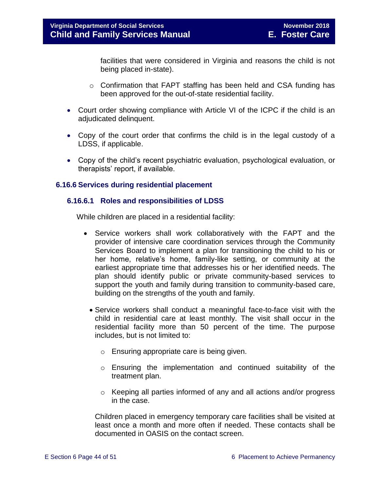facilities that were considered in Virginia and reasons the child is not being placed in-state).

- o Confirmation that FAPT staffing has been held and CSA funding has been approved for the out-of-state residential facility.
- Court order showing compliance with Article VI of the ICPC if the child is an adjudicated delinquent.
- Copy of the court order that confirms the child is in the legal custody of a LDSS, if applicable.
- Copy of the child's recent psychiatric evaluation, psychological evaluation, or therapists' report, if available.

#### <span id="page-43-1"></span><span id="page-43-0"></span>**6.16.6 Services during residential placement**

#### **6.16.6.1 Roles and responsibilities of LDSS**

While children are placed in a residential facility:

- Service workers shall work collaboratively with the FAPT and the provider of intensive care coordination services through the Community Services Board to implement a plan for transitioning the child to his or her home, relative's home, family-like setting, or community at the earliest appropriate time that addresses his or her identified needs. The plan should identify public or private community-based services to support the youth and family during transition to community-based care, building on the strengths of the youth and family.
	- Service workers shall conduct a meaningful face-to-face visit with the child in residential care at least monthly. The visit shall occur in the residential facility more than 50 percent of the time. The purpose includes, but is not limited to:
		- o Ensuring appropriate care is being given.
		- o Ensuring the implementation and continued suitability of the treatment plan.
		- o Keeping all parties informed of any and all actions and/or progress in the case.

Children placed in emergency temporary care facilities shall be visited at least once a month and more often if needed. These contacts shall be documented in OASIS on the contact screen.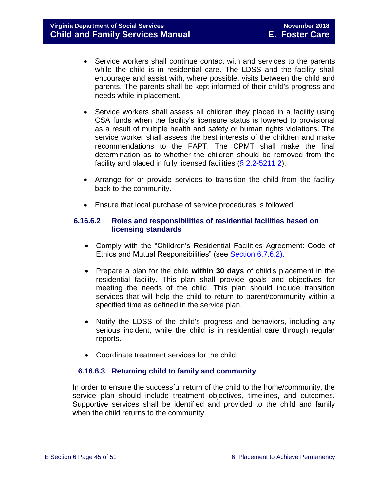- Service workers shall continue contact with and services to the parents while the child is in residential care. The LDSS and the facility shall encourage and assist with, where possible, visits between the child and parents. The parents shall be kept informed of their child's progress and needs while in placement.
- Service workers shall assess all children they placed in a facility using CSA funds when the facility's licensure status is lowered to provisional as a result of multiple health and safety or human rights violations. The service worker shall assess the best interests of the children and make recommendations to the FAPT. The CPMT shall make the final determination as to whether the children should be removed from the facility and placed in fully licensed facilities  $(\S 2.2 - 5211 2)$ .
- Arrange for or provide services to transition the child from the facility back to the community.
- Ensure that local purchase of service procedures is followed.

#### <span id="page-44-0"></span>**6.16.6.2 Roles and responsibilities of residential facilities based on licensing standards**

- Comply with the "Children's Residential Facilities Agreement: Code of Ethics and Mutual Responsibilities" (see Section [6.7.6.2\).](#page-39-0)
- Prepare a plan for the child **within 30 days** of child's placement in the residential facility. This plan shall provide goals and objectives for meeting the needs of the child. This plan should include transition services that will help the child to return to parent/community within a specified time as defined in the service plan.
- Notify the LDSS of the child's progress and behaviors, including any serious incident, while the child is in residential care through regular reports.
- Coordinate treatment services for the child.

#### **6.16.6.3 Returning child to family and community**

<span id="page-44-1"></span>In order to ensure the successful return of the child to the home/community, the service plan should include treatment objectives, timelines, and outcomes. Supportive services shall be identified and provided to the child and family when the child returns to the community.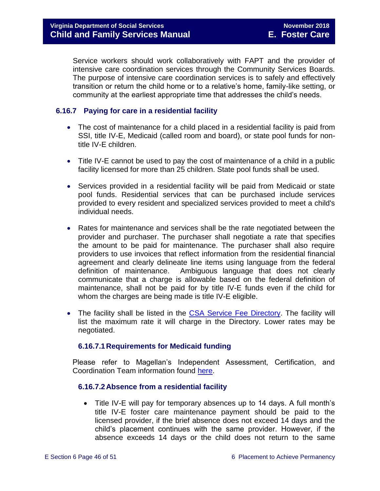Service workers should work collaboratively with FAPT and the provider of intensive care coordination services through the Community Services Boards. The purpose of intensive care coordination services is to safely and effectively transition or return the child home or to a relative's home, family-like setting, or community at the earliest appropriate time that addresses the child's needs.

#### <span id="page-45-0"></span>**6.16.7 Paying for care in a residential facility**

- The cost of maintenance for a child placed in a residential facility is paid from SSI, title IV-E, Medicaid (called room and board), or state pool funds for nontitle IV-E children.
- Title IV-E cannot be used to pay the cost of maintenance of a child in a public facility licensed for more than 25 children. State pool funds shall be used.
- Services provided in a residential facility will be paid from Medicaid or state pool funds. Residential services that can be purchased include services provided to every resident and specialized services provided to meet a child's individual needs.
- Rates for maintenance and services shall be the rate negotiated between the provider and purchaser. The purchaser shall negotiate a rate that specifies the amount to be paid for maintenance. The purchaser shall also require providers to use invoices that reflect information from the residential financial agreement and clearly delineate line items using language from the federal definition of maintenance. Ambiguous language that does not clearly communicate that a charge is allowable based on the federal definition of maintenance, shall not be paid for by title IV-E funds even if the child for whom the charges are being made is title IV-E eligible.
- The facility shall be listed in the [CSA Service Fee Directory.](http://www.csa.virginia.gov/sfd/service_fee_directory.cfm) The facility will list the maximum rate it will charge in the Directory. Lower rates may be negotiated.

#### **6.16.7.1Requirements for Medicaid funding**

<span id="page-45-1"></span>Please refer to Magellan's Independent Assessment, Certification, and Coordination Team information found [here.](http://magellanofvirginia.com/for-providers-va/residential-program-process.aspx)

#### <span id="page-45-2"></span>**6.16.7.2Absence from a residential facility**

 Title IV-E will pay for temporary absences up to 14 days. A full month's title IV-E foster care maintenance payment should be paid to the licensed provider, if the brief absence does not exceed 14 days and the child's placement continues with the same provider. However, if the absence exceeds 14 days or the child does not return to the same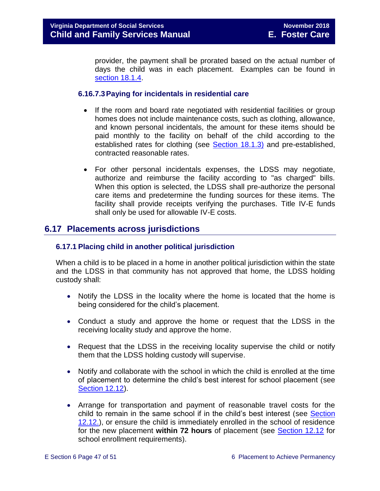provider, the payment shall be prorated based on the actual number of days the child was in each placement. Examples can be found in [section 18.1.4.](file://///Vaultcelerra.co.dss.state.va.us/Workgroup/Family_Services/DFS%20Child%20and%20Family%20Services%20Manual/E.%20Foster%20Care/Foster%20Care%20June%202017/section_18_funding_maintenance_costs.draft.docx)

#### <span id="page-46-0"></span>**6.16.7.3Paying for incidentals in residential care**

- If the room and board rate negotiated with residential facilities or group homes does not include maintenance costs, such as clothing, allowance, and known personal incidentals, the amount for these items should be paid monthly to the facility on behalf of the child according to the established rates for clothing (see [Section](file://///Vaultcelerra.co.dss.state.va.us/Workgroup/Family_Services/DFS%20Child%20and%20Family%20Services%20Manual/E.%20Foster%20Care/Foster%20Care%20June%202017/section_18_funding_maintenance_costs.draft.docx) 18.1.3) and pre-established, contracted reasonable rates.
- For other personal incidentals expenses, the LDSS may negotiate, authorize and reimburse the facility according to "as charged" bills. When this option is selected, the LDSS shall pre-authorize the personal care items and predetermine the funding sources for these items. The facility shall provide receipts verifying the purchases. Title IV-E funds shall only be used for allowable IV-E costs.

# <span id="page-46-1"></span>**6.17 Placements across jurisdictions**

#### <span id="page-46-2"></span>**6.17.1 Placing child in another political jurisdiction**

When a child is to be placed in a home in another political jurisdiction within the state and the LDSS in that community has not approved that home, the LDSS holding custody shall:

- Notify the LDSS in the locality where the home is located that the home is being considered for the child's placement.
- Conduct a study and approve the home or request that the LDSS in the receiving locality study and approve the home.
- Request that the LDSS in the receiving locality supervise the child or notify them that the LDSS holding custody will supervise.
- Notify and collaborate with the school in which the child is enrolled at the time of placement to determine the child's best interest for school placement (see [Section 12.12\)](file://///Vaultcelerra.co.dss.state.va.us/Workgroup/Family_Services/DFS%20Child%20and%20Family%20Services%20Manual/E.%20Foster%20Care/Foster%20Care%20June%202017/section_12_identifying_services_to_be_provided.draft.docx).
- Arrange for transportation and payment of reasonable travel costs for the child to remain in the same school if in the child's best interest (see [Section](file://///Vaultcelerra.co.dss.state.va.us/Workgroup/Family_Services/DFS%20Child%20and%20Family%20Services%20Manual/E.%20Foster%20Care/Foster%20Care%20June%202017/section_12_identifying_services_to_be_provided.draft.docx)  [12.12.\)](file://///Vaultcelerra.co.dss.state.va.us/Workgroup/Family_Services/DFS%20Child%20and%20Family%20Services%20Manual/E.%20Foster%20Care/Foster%20Care%20June%202017/section_12_identifying_services_to_be_provided.draft.docx), or ensure the child is immediately enrolled in the school of residence for the new placement **within 72 hours** of placement (see [Section 12.12](file://///Vaultcelerra.co.dss.state.va.us/Workgroup/Family_Services/DFS%20Child%20and%20Family%20Services%20Manual/E.%20Foster%20Care/Foster%20Care%20June%202017/section_12_identifying_services_to_be_provided.draft.docx) for school enrollment requirements).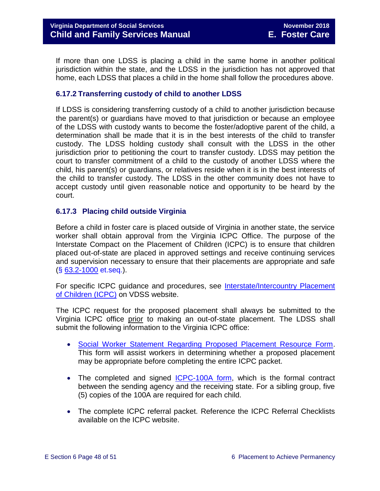If more than one LDSS is placing a child in the same home in another political jurisdiction within the state, and the LDSS in the jurisdiction has not approved that home, each LDSS that places a child in the home shall follow the procedures above.

#### <span id="page-47-0"></span>**6.17.2 Transferring custody of child to another LDSS**

If LDSS is considering transferring custody of a child to another jurisdiction because the parent(s) or guardians have moved to that jurisdiction or because an employee of the LDSS with custody wants to become the foster/adoptive parent of the child, a determination shall be made that it is in the best interests of the child to transfer custody. The LDSS holding custody shall consult with the LDSS in the other jurisdiction prior to petitioning the court to transfer custody. LDSS may petition the court to transfer commitment of a child to the custody of another LDSS where the child, his parent(s) or guardians, or relatives reside when it is in the best interests of the child to transfer custody. The LDSS in the other community does not have to accept custody until given reasonable notice and opportunity to be heard by the court.

#### <span id="page-47-2"></span><span id="page-47-1"></span>**6.17.3 Placing child outside Virginia**

Before a child in foster care is placed outside of Virginia in another state, the service worker shall obtain approval from the Virginia ICPC Office. The purpose of the Interstate Compact on the Placement of Children (ICPC) is to ensure that children placed out-of-state are placed in approved settings and receive continuing services and supervision necessary to ensure that their placements are appropriate and safe (§ [63.2-1000](http://law.lis.virginia.gov/vacode/63.2-1000/) et.seq.).

For specific ICPC guidance and procedures, see [Interstate/Intercountry Placement](http://www.dss.virginia.gov/family/icpc/index.cgi)  [of Children \(ICPC\)](http://www.dss.virginia.gov/family/icpc/index.cgi) on VDSS website.

The ICPC request for the proposed placement shall always be submitted to the Virginia ICPC office prior to making an out-of-state placement. The LDSS shall submit the following information to the Virginia ICPC office:

- [Social Worker Statement Regarding Proposed Placement Resource Form.](http://spark.dss.virginia.gov/divisions/dfs/iii/files/icpc/forms/social_workers_pre-screening_document.pdf) This form will assist workers in determining whether a proposed placement may be appropriate before completing the entire ICPC packet.
- The completed and signed [ICPC-100A form,](http://spark.dss.virginia.gov/divisions/dfs/forms.cgi) which is the formal contract between the sending agency and the receiving state. For a sibling group, five (5) copies of the 100A are required for each child.
- The complete ICPC referral packet. Reference the ICPC Referral Checklists available on the ICPC website.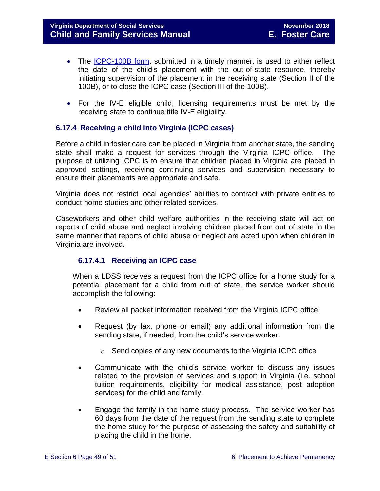- The [ICPC-100B form,](http://spark.dss.virginia.gov/divisions/dfs/forms.cgi) submitted in a timely manner, is used to either reflect the date of the child's placement with the out-of-state resource, thereby initiating supervision of the placement in the receiving state (Section II of the 100B), or to close the ICPC case (Section III of the 100B).
- For the IV-E eligible child, licensing requirements must be met by the receiving state to continue title IV-E eligibility.

#### <span id="page-48-0"></span>**6.17.4 Receiving a child into Virginia (ICPC cases)**

Before a child in foster care can be placed in Virginia from another state, the sending state shall make a request for services through the Virginia ICPC office. The purpose of utilizing ICPC is to ensure that children placed in Virginia are placed in approved settings, receiving continuing services and supervision necessary to ensure their placements are appropriate and safe.

Virginia does not restrict local agencies' abilities to contract with private entities to conduct home studies and other related services.

Caseworkers and other child welfare authorities in the receiving state will act on reports of child abuse and neglect involving children placed from out of state in the same manner that reports of child abuse or neglect are acted upon when children in Virginia are involved.

#### **6.17.4.1 Receiving an ICPC case**

<span id="page-48-1"></span>When a LDSS receives a request from the ICPC office for a home study for a potential placement for a child from out of state, the service worker should accomplish the following:

- Review all packet information received from the Virginia ICPC office.
- Request (by fax, phone or email) any additional information from the sending state, if needed, from the child's service worker.
	- o Send copies of any new documents to the Virginia ICPC office
- Communicate with the child's service worker to discuss any issues related to the provision of services and support in Virginia (i.e. school tuition requirements, eligibility for medical assistance, post adoption services) for the child and family.
- Engage the family in the home study process. The service worker has 60 days from the date of the request from the sending state to complete the home study for the purpose of assessing the safety and suitability of placing the child in the home.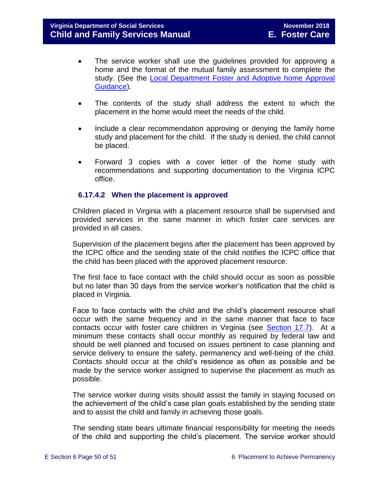- The service worker shall use the guidelines provided for approving a home and the format of the mutual family assessment to complete the study. (See the Local Department [Foster and Adoptive home Approval](http://spark.dss.virginia.gov/divisions/dfs/resource_family/files/manuals/gudiance_2_13.pdf)  [Guidance\)](http://spark.dss.virginia.gov/divisions/dfs/resource_family/files/manuals/gudiance_2_13.pdf).
- The contents of the study shall address the extent to which the placement in the home would meet the needs of the child.
- Include a clear recommendation approving or denying the family home study and placement for the child. If the study is denied, the child cannot be placed.
- Forward 3 copies with a cover letter of the home study with recommendations and supporting documentation to the Virginia ICPC office.

#### **6.17.4.2 When the placement is approved**

<span id="page-49-0"></span>Children placed in Virginia with a placement resource shall be supervised and provided services in the same manner in which foster care services are provided in all cases.

Supervision of the placement begins after the placement has been approved by the ICPC office and the sending state of the child notifies the ICPC office that the child has been placed with the approved placement resource.

The first face to face contact with the child should occur as soon as possible but no later than 30 days from the service worker's notification that the child is placed in Virginia.

Face to face contacts with the child and the child's placement resource shall occur with the same frequency and in the same manner that face to face contacts occur with foster care children in Virginia (see [Section 17.7\)](file://///Vaultcelerra.co.dss.state.va.us/Workgroup/Family_Services/DFS%20Child%20and%20Family%20Services%20Manual/E.%20Foster%20Care/Foster%20Care%20June%202017/section_17_managing_foster_care_services.draft.1.docx). At a minimum these contacts shall occur monthly as required by federal law and should be well planned and focused on issues pertinent to case planning and service delivery to ensure the safety, permanency and well-being of the child. Contacts should occur at the child's residence as often as possible and be made by the service worker assigned to supervise the placement as much as possible.

The service worker during visits should assist the family in staying focused on the achievement of the child's case plan goals established by the sending state and to assist the child and family in achieving those goals.

The sending state bears ultimate financial responsibility for meeting the needs of the child and supporting the child's placement. The service worker should